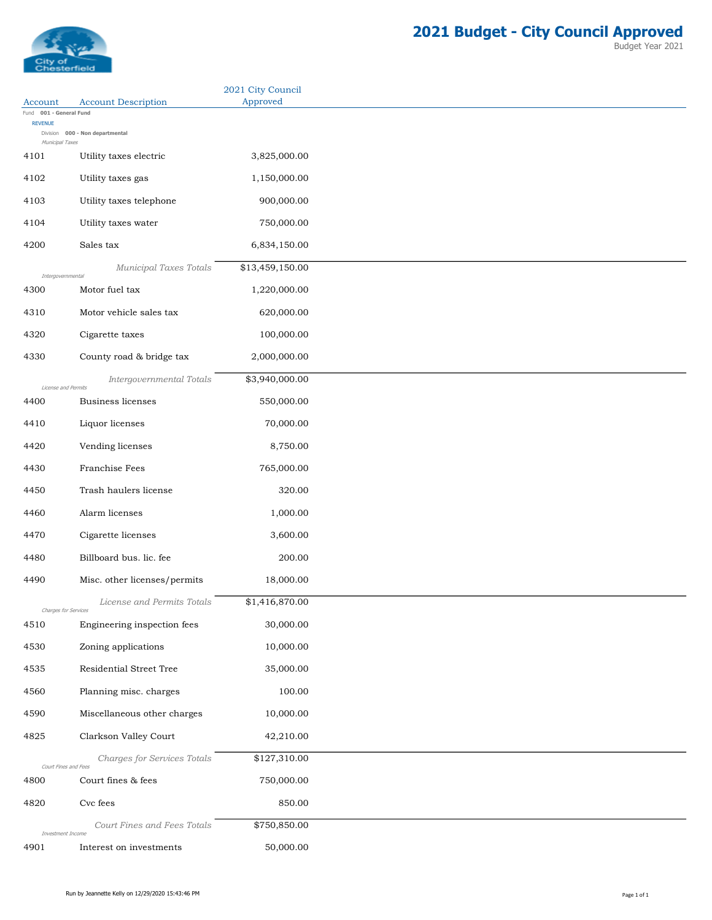

|                                    |                                 | 2021 City Council |
|------------------------------------|---------------------------------|-------------------|
| Account<br>Fund 001 - General Fund | <b>Account Description</b>      | Approved          |
| <b>REVENUE</b>                     | Division 000 - Non departmental |                   |
| Municipal Taxes<br>4101            | Utility taxes electric          | 3,825,000.00      |
|                                    |                                 |                   |
| 4102                               | Utility taxes gas               | 1,150,000.00      |
| 4103                               | Utility taxes telephone         | 900,000.00        |
| 4104                               | Utility taxes water             | 750,000.00        |
| 4200                               | Sales tax                       | 6,834,150.00      |
|                                    | Municipal Taxes Totals          | \$13,459,150.00   |
| Intergovernmental<br>4300          | Motor fuel tax                  | 1,220,000.00      |
| 4310                               | Motor vehicle sales tax         | 620,000.00        |
| 4320                               | Cigarette taxes                 | 100,000.00        |
|                                    |                                 |                   |
| 4330                               | County road & bridge tax        | 2,000,000.00      |
| License and Permits                | Intergovernmental Totals        | \$3,940,000.00    |
| 4400                               | <b>Business licenses</b>        | 550,000.00        |
| 4410                               | Liquor licenses                 | 70,000.00         |
| 4420                               | Vending licenses                | 8,750.00          |
| 4430                               | Franchise Fees                  | 765,000.00        |
| 4450                               | Trash haulers license           | 320.00            |
| 4460                               | Alarm licenses                  | 1,000.00          |
| 4470                               | Cigarette licenses              | 3,600.00          |
|                                    |                                 |                   |
| 4480                               | Billboard bus. lic. fee         | 200.00            |
| 4490                               | Misc. other licenses/permits    | 18,000.00         |
| Charges for Services               | License and Permits Totals      | \$1,416,870.00    |
| 4510                               | Engineering inspection fees     | 30,000.00         |
| 4530                               | Zoning applications             | 10,000.00         |
| 4535                               | Residential Street Tree         | 35,000.00         |
| 4560                               | Planning misc. charges          | 100.00            |
| 4590                               | Miscellaneous other charges     | 10,000.00         |
|                                    |                                 |                   |
| 4825                               | Clarkson Valley Court           | 42,210.00         |
| Court Fines and Fees               | Charges for Services Totals     | \$127,310.00      |
| 4800                               | Court fines & fees              | 750,000.00        |
| 4820                               | Cvc fees                        | 850.00            |
|                                    | Court Fines and Fees Totals     | \$750,850.00      |
| Investment Income<br>4901          | Interest on investments         | 50,000.00         |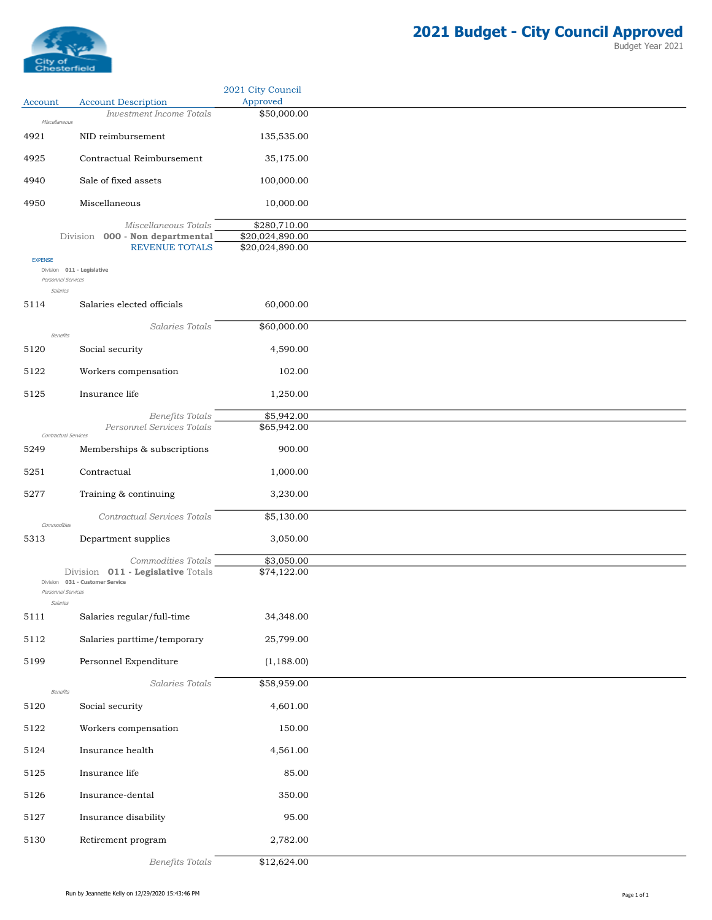

Account Account Description

2021 City Council Approved

Investment Income Totals \$50,000.00

| Miscellaneous        |                                   |                 |
|----------------------|-----------------------------------|-----------------|
| 4921                 | NID reimbursement                 | 135,535.00      |
| 4925                 | Contractual Reimbursement         | 35,175.00       |
| 4940                 | Sale of fixed assets              | 100,000.00      |
| 4950                 | Miscellaneous                     | 10,000.00       |
|                      | Miscellaneous Totals              | \$280,710.00    |
|                      | Division 000 - Non departmental   | \$20,024,890.00 |
| <b>EXPENSE</b>       | <b>REVENUE TOTALS</b>             | \$20,024,890.00 |
| Personnel Services   | Division 011 - Legislative        |                 |
| Salaries             |                                   |                 |
| 5114                 | Salaries elected officials        | 60,000.00       |
| Benefits             | Salaries Totals                   | \$60,000.00     |
| 5120                 | Social security                   | 4,590.00        |
|                      |                                   |                 |
| 5122                 | Workers compensation              | 102.00          |
| 5125                 | Insurance life                    | 1,250.00        |
|                      | <b>Benefits Totals</b>            | \$5,942.00      |
| Contractual Services | Personnel Services Totals         | \$65,942.00     |
| 5249                 | Memberships & subscriptions       | 900.00          |
| 5251                 | Contractual                       | 1,000.00        |
| 5277                 | Training & continuing             | 3,230.00        |
| Commodities          | Contractual Services Totals       | \$5,130.00      |
| 5313                 | Department supplies               | 3,050.00        |
|                      | Commodities Totals                | \$3,050.00      |
|                      | Division 011 - Legislative Totals | \$74,122.00     |
| Personnel Services   | Division 031 - Customer Service   |                 |
| Salaries             |                                   |                 |
| 5111                 | Salaries regular/full-time        | 34,348.00       |
| 5112                 | Salaries parttime/temporary       | 25,799.00       |
| 5199                 | Personnel Expenditure             | (1, 188.00)     |
| Benefits             | Salaries Totals                   | \$58,959.00     |
| 5120                 | Social security                   | 4,601.00        |
| 5122                 | Workers compensation              | 150.00          |
| 5124                 | Insurance health                  | 4,561.00        |
| 5125                 | Insurance life                    | 85.00           |
| 5126                 | Insurance-dental                  | 350.00          |
| 5127                 | Insurance disability              | 95.00           |
| 5130                 | Retirement program                | 2,782.00        |
|                      |                                   |                 |

Benefits Totals \$12,624.00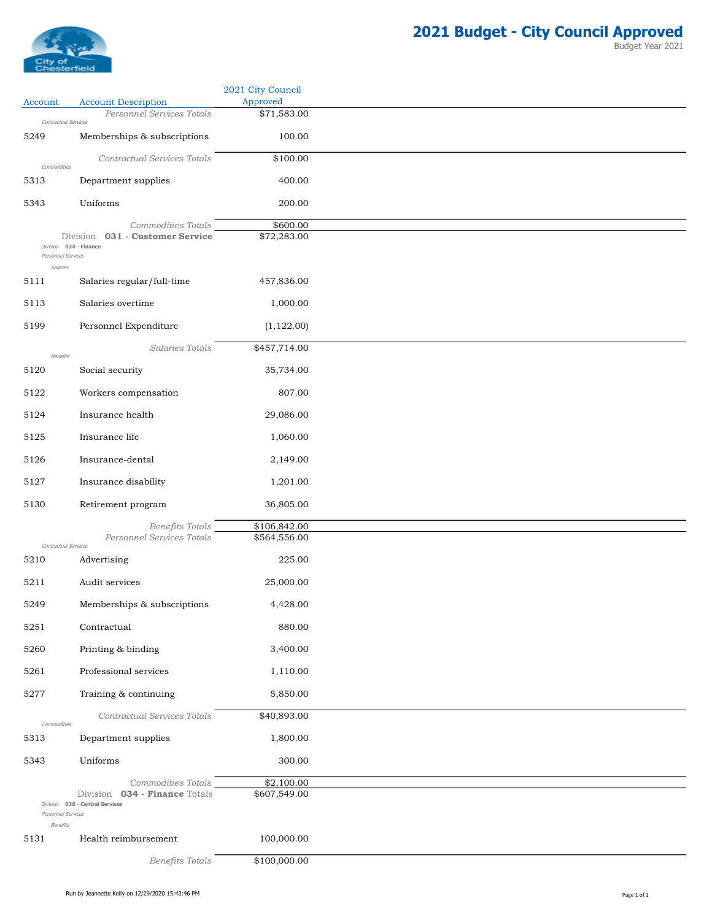

|                                              |                                                                                           | 2021 City Council          |
|----------------------------------------------|-------------------------------------------------------------------------------------------|----------------------------|
| Account                                      | <b>Account Description</b><br>Personnel Services Totals                                   | Approved<br>\$71,583.00    |
| Contractual Services                         |                                                                                           |                            |
| 5249                                         | Memberships & subscriptions                                                               | 100.00                     |
| Commodities                                  | Contractual Services Totals                                                               | \$100.00                   |
| 5313                                         | Department supplies                                                                       | 400.00                     |
| 5343                                         | Uniforms                                                                                  | 200.00                     |
| Division 034 - Finance<br>Personnel Services | Commodities Totals<br>Division 031 - Customer Service                                     | \$600.00<br>\$72,283.00    |
| Salaries<br>5111                             | Salaries regular/full-time                                                                | 457,836.00                 |
| 5113                                         | Salaries overtime                                                                         | 1,000.00                   |
| 5199                                         | Personnel Expenditure                                                                     | (1, 122.00)                |
|                                              | Salaries Totals                                                                           | \$457,714.00               |
| Benefits<br>5120                             | Social security                                                                           | 35,734.00                  |
| 5122                                         |                                                                                           | 807.00                     |
|                                              | Workers compensation                                                                      |                            |
| 5124                                         | Insurance health                                                                          | 29,086.00                  |
| 5125                                         | Insurance life                                                                            | 1,060.00                   |
| 5126                                         | Insurance-dental                                                                          | 2,149.00                   |
| 5127                                         | Insurance disability                                                                      | 1,201.00                   |
| 5130                                         | Retirement program                                                                        | 36,805.00                  |
|                                              | Benefits Totals                                                                           | \$106,842.00               |
| Contractual Services                         | Personnel Services Totals                                                                 | \$564,556.00               |
| 5210                                         | Advertising                                                                               | 225.00                     |
| 5211                                         | Audit services                                                                            | 25,000.00                  |
| 5249                                         | Memberships & subscriptions                                                               | 4,428.00                   |
| 5251                                         | Contractual                                                                               | 880.00                     |
| 5260                                         | Printing & binding                                                                        | 3,400.00                   |
| 5261                                         | Professional services                                                                     | 1,110.00                   |
| 5277                                         | Training & continuing                                                                     | 5,850.00                   |
|                                              | Contractual Services Totals                                                               | \$40,893.00                |
| Commodities<br>5313                          | Department supplies                                                                       | 1,800.00                   |
| 5343                                         | Uniforms                                                                                  | 300.00                     |
|                                              |                                                                                           |                            |
| Personnel Services<br>Benefits               | Commodities Totals<br>034 - Finance Totals<br>Division<br>Division 036 - Central Services | \$2,100.00<br>\$607,549.00 |
| 5131                                         | Health reimbursement                                                                      | 100,000.00                 |
|                                              | Benefits Totals                                                                           | \$100,000.00               |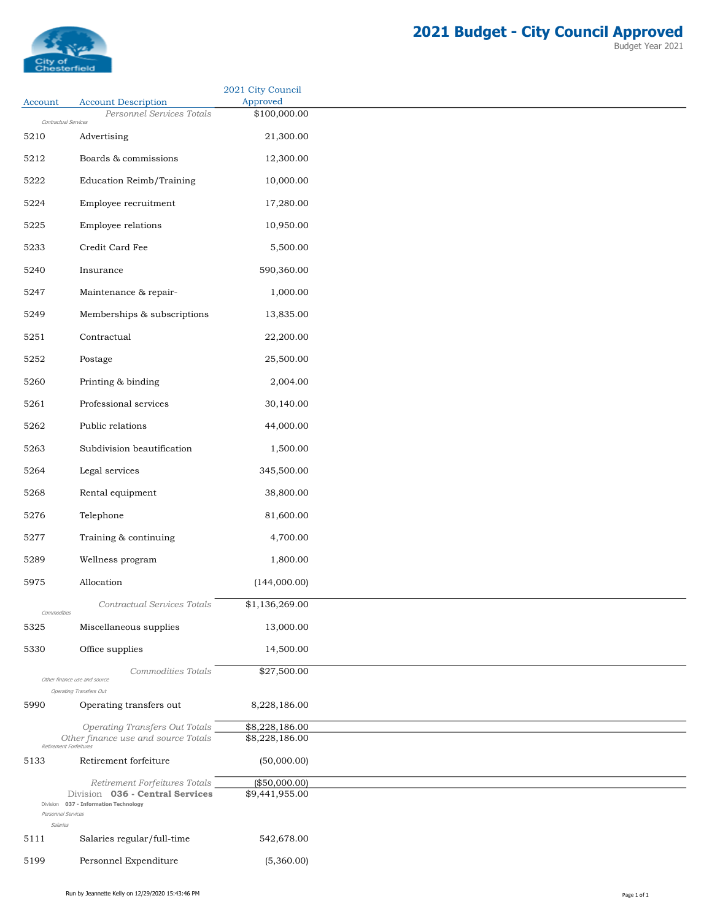

|                                |                                                                          | 2021 City Council        |
|--------------------------------|--------------------------------------------------------------------------|--------------------------|
| Account                        | <b>Account Description</b><br>Personnel Services Totals                  | Approved<br>\$100,000.00 |
| Contractual Services           |                                                                          |                          |
| 5210                           | Advertising                                                              | 21,300.00                |
| 5212                           | Boards & commissions                                                     | 12,300.00                |
| 5222                           | Education Reimb/Training                                                 | 10,000.00                |
| 5224                           | Employee recruitment                                                     | 17,280.00                |
| 5225                           | Employee relations                                                       | 10,950.00                |
| 5233                           | Credit Card Fee                                                          | 5,500.00                 |
| 5240                           | Insurance                                                                | 590,360.00               |
| 5247                           | Maintenance & repair-                                                    | 1,000.00                 |
| 5249                           | Memberships & subscriptions                                              | 13,835.00                |
| 5251                           | Contractual                                                              | 22,200.00                |
| 5252                           | Postage                                                                  | 25,500.00                |
| 5260                           | Printing & binding                                                       | 2,004.00                 |
| 5261                           | Professional services                                                    | 30,140.00                |
| 5262                           | Public relations                                                         | 44,000.00                |
| 5263                           | Subdivision beautification                                               | 1,500.00                 |
| 5264                           | Legal services                                                           | 345,500.00               |
| 5268                           | Rental equipment                                                         | 38,800.00                |
| 5276                           | Telephone                                                                | 81,600.00                |
| 5277                           | Training & continuing                                                    | 4,700.00                 |
| 5289                           | Wellness program                                                         | 1,800.00                 |
| 5975                           | Allocation                                                               | (144,000.00)             |
|                                | Contractual Services Totals                                              | \$1,136,269.00           |
| Commodities<br>5325            | Miscellaneous supplies                                                   | 13,000.00                |
| 5330                           | Office supplies                                                          | 14,500.00                |
|                                | Commodities Totals                                                       | \$27,500.00              |
|                                | Other finance use and source<br><b>Operating Transfers Out</b>           |                          |
| 5990                           | Operating transfers out                                                  | 8,228,186.00             |
|                                | <b>Operating Transfers Out Totals</b>                                    | \$8,228,186.00           |
| Retirement Forfeitures         | Other finance use and source Totals                                      | \$8,228,186.00           |
| 5133                           | Retirement forfeiture                                                    | (50,000.00)              |
|                                | Retirement Forfeitures Totals                                            | (\$50,000.00)            |
|                                | Division 036 - Central Services<br>Division 037 - Information Technology | \$9,441,955.00           |
| Personnel Services<br>Salaries |                                                                          |                          |
| 5111                           | Salaries regular/full-time                                               | 542,678.00               |
| 5199                           | Personnel Expenditure                                                    | (5,360.00)               |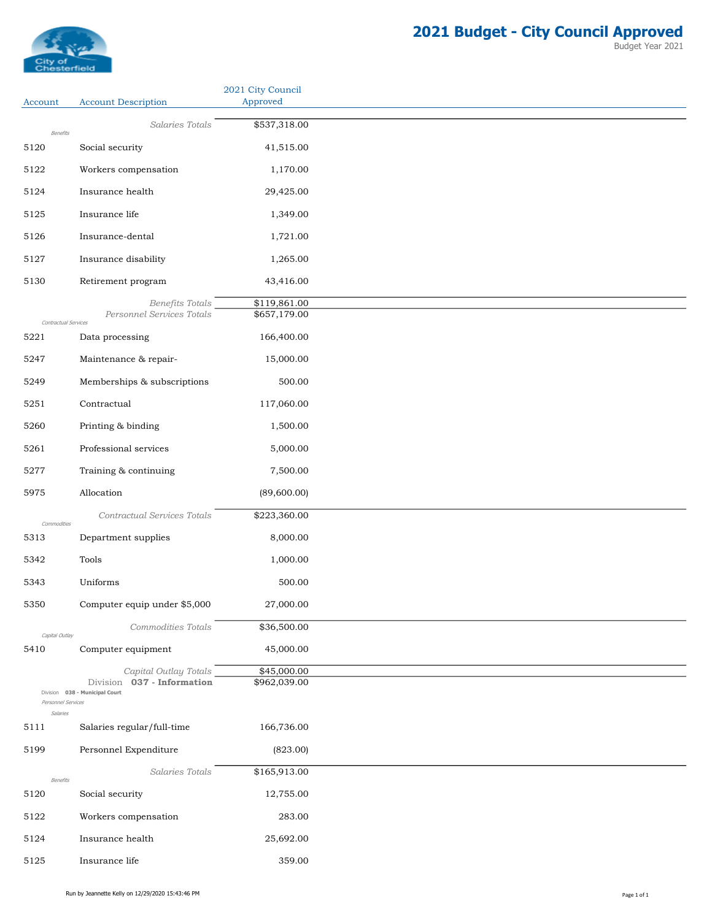

|                              |                                                              | 2021 City Council            |
|------------------------------|--------------------------------------------------------------|------------------------------|
| Account                      | <b>Account Description</b>                                   | Approved                     |
| Benefits                     | Salaries Totals                                              | \$537,318.00                 |
| 5120                         | Social security                                              | 41,515.00                    |
| 5122                         | Workers compensation                                         | 1,170.00                     |
| 5124                         | Insurance health                                             | 29,425.00                    |
| 5125                         | Insurance life                                               | 1,349.00                     |
| 5126                         | Insurance-dental                                             | 1,721.00                     |
| 5127                         | Insurance disability                                         | 1,265.00                     |
| 5130                         | Retirement program                                           | 43,416.00                    |
|                              |                                                              |                              |
|                              | Benefits Totals<br>Personnel Services Totals                 | \$119,861.00<br>\$657,179.00 |
| Contractual Services<br>5221 | Data processing                                              | 166,400.00                   |
| 5247                         | Maintenance & repair-                                        | 15,000.00                    |
| 5249                         | Memberships & subscriptions                                  | 500.00                       |
| 5251                         | Contractual                                                  | 117,060.00                   |
| 5260                         |                                                              | 1,500.00                     |
|                              | Printing & binding                                           |                              |
| 5261                         | Professional services                                        | 5,000.00                     |
| 5277                         | Training & continuing                                        | 7,500.00                     |
| 5975                         | Allocation                                                   | (89,600.00)                  |
| Commodities                  | Contractual Services Totals                                  | \$223,360.00                 |
| 5313                         | Department supplies                                          | 8,000.00                     |
| 5342                         | Tools                                                        | 1,000.00                     |
| 5343                         | Uniforms                                                     | 500.00                       |
| 5350                         | Computer equip under \$5,000                                 | 27,000.00                    |
|                              | Commodities Totals                                           | \$36,500.00                  |
| Capital Outlay<br>5410       | Computer equipment                                           | 45,000.00                    |
|                              | Capital Outlay Totals                                        | \$45,000.00                  |
|                              | Division 037 - Information<br>Division 038 - Municipal Court | \$962,039.00                 |
| Personnel Services           |                                                              |                              |
| Salaries<br>5111             | Salaries regular/full-time                                   | 166,736.00                   |
| 5199                         | Personnel Expenditure                                        | (823.00)                     |
|                              | Salaries Totals                                              | \$165,913.00                 |
| Benefits<br>5120             | Social security                                              | 12,755.00                    |
| 5122                         | Workers compensation                                         | 283.00                       |
| 5124                         | Insurance health                                             | 25,692.00                    |
|                              |                                                              |                              |
| 5125                         | Insurance life                                               | 359.00                       |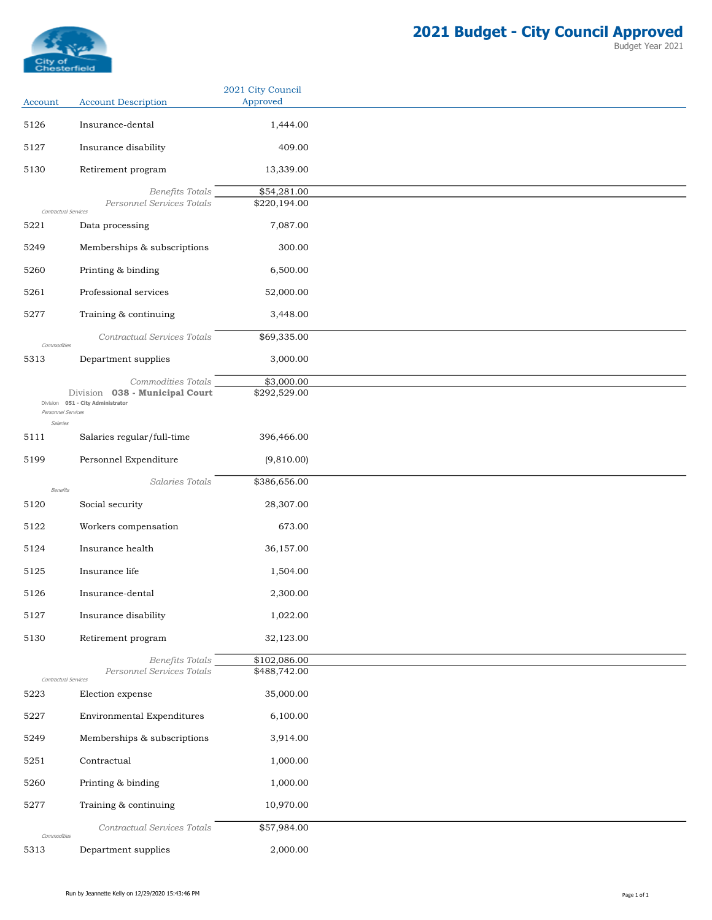

| Account              | <b>Account Description</b>                                          | 2021 City Council<br>Approved |
|----------------------|---------------------------------------------------------------------|-------------------------------|
| 5126                 | Insurance-dental                                                    | 1,444.00                      |
| 5127                 | Insurance disability                                                | 409.00                        |
| 5130                 | Retirement program                                                  | 13,339.00                     |
|                      | Benefits Totals                                                     | \$54,281.00                   |
| Contractual Services | Personnel Services Totals                                           | \$220,194.00                  |
| 5221                 | Data processing                                                     | 7,087.00                      |
| 5249                 | Memberships & subscriptions                                         | 300.00                        |
| 5260                 | Printing & binding                                                  | 6,500.00                      |
| 5261                 | Professional services                                               | 52,000.00                     |
| 5277                 | Training & continuing                                               | 3,448.00                      |
| Commodities          | Contractual Services Totals                                         | \$69,335.00                   |
| 5313                 | Department supplies                                                 | 3,000.00                      |
|                      | Commodities Totals                                                  | \$3,000.00                    |
| Personnel Services   | Division 038 - Municipal Court<br>Division 051 - City Administrator | \$292,529.00                  |
| Salaries             |                                                                     |                               |
| 5111                 | Salaries regular/full-time                                          | 396,466.00                    |
| 5199                 | Personnel Expenditure                                               | (9,810.00)                    |
| Benefits             | Salaries Totals                                                     | \$386,656.00                  |
| 5120                 | Social security                                                     | 28,307.00                     |
| 5122                 | Workers compensation                                                | 673.00                        |
| 5124                 | Insurance health                                                    | 36,157.00                     |
| 5125                 | Insurance life                                                      | 1,504.00                      |
| 5126                 | Insurance-dental                                                    | 2,300.00                      |
| 5127                 | Insurance disability                                                | 1,022.00                      |
| 5130                 | Retirement program                                                  | 32,123.00                     |
|                      | Benefits Totals                                                     | \$102,086.00                  |
| Contractual Services | Personnel Services Totals                                           | \$488,742.00                  |
| 5223                 | Election expense                                                    | 35,000.00                     |
| 5227                 | Environmental Expenditures                                          | 6,100.00                      |
| 5249                 | Memberships & subscriptions                                         | 3,914.00                      |
| 5251                 | Contractual                                                         | 1,000.00                      |
| 5260                 | Printing & binding                                                  | 1,000.00                      |
| 5277                 | Training & continuing                                               | 10,970.00                     |
| Commodities          | Contractual Services Totals                                         | \$57,984.00                   |
| 5313                 | Department supplies                                                 | 2,000.00                      |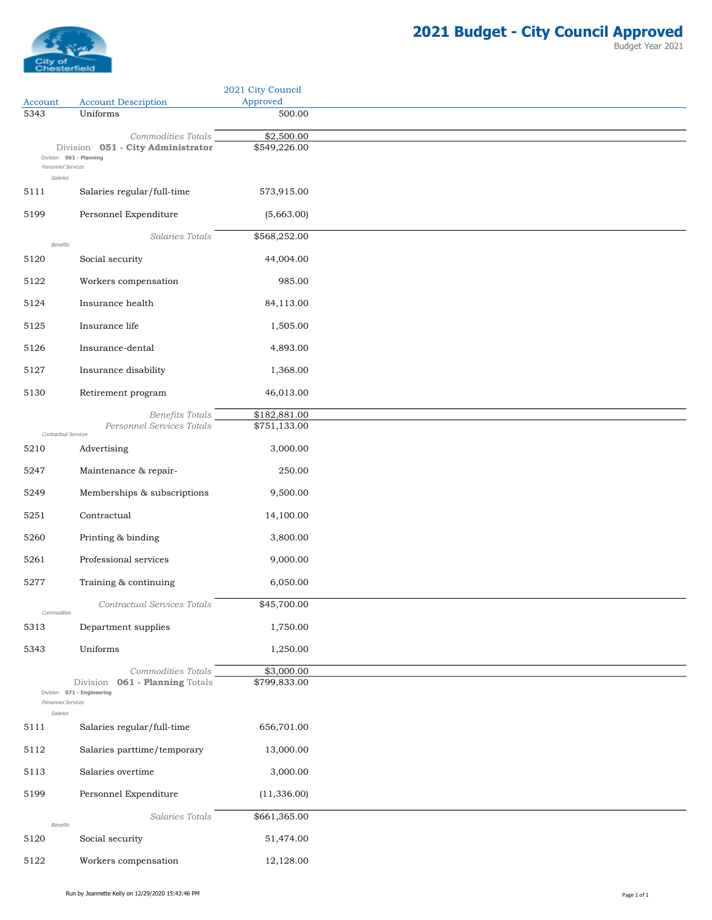

|                                |                                                                                    | 2021 City Council          |
|--------------------------------|------------------------------------------------------------------------------------|----------------------------|
| Account<br>5343                | <b>Account Description</b><br>Uniforms                                             | Approved<br>500.00         |
|                                |                                                                                    |                            |
| Personnel Services<br>Salaries | Commodities Totals<br>Division 051 - City Administrator<br>Division 061 - Planning | \$2,500.00<br>\$549,226.00 |
| 5111                           | Salaries regular/full-time                                                         | 573,915.00                 |
| 5199                           | Personnel Expenditure                                                              | (5,663.00)                 |
| Benefits                       | Salaries Totals                                                                    | \$568,252.00               |
| 5120                           | Social security                                                                    | 44,004.00                  |
| 5122                           | Workers compensation                                                               | 985.00                     |
| 5124                           | Insurance health                                                                   | 84,113.00                  |
| 5125                           | Insurance life                                                                     | 1,505.00                   |
| 5126                           | Insurance-dental                                                                   | 4,893.00                   |
| 5127                           | Insurance disability                                                               | 1,368.00                   |
| 5130                           | Retirement program                                                                 | 46,013.00                  |
|                                | <b>Benefits Totals</b>                                                             | \$182,881.00               |
| Contractual Services           | Personnel Services Totals                                                          | \$751,133.00               |
| 5210                           | Advertising                                                                        | 3,000.00                   |
| 5247                           | Maintenance & repair-                                                              | 250.00                     |
| 5249                           | Memberships & subscriptions                                                        | 9,500.00                   |
| 5251                           | Contractual                                                                        | 14,100.00                  |
| 5260                           | Printing & binding                                                                 | 3,800.00                   |
| 5261                           | Professional services                                                              | 9,000.00                   |
| 5277                           | Training & continuing                                                              | 6,050.00                   |
|                                | Contractual Services Totals                                                        | \$45,700.00                |
| Commodities<br>5313            | Department supplies                                                                | 1,750.00                   |
| 5343                           | Uniforms                                                                           | 1,250.00                   |
| Personnel Services<br>Salaries | Commodities Totals<br>Division 061 - Planning Totals<br>Division 071 - Engineering | \$3,000.00<br>\$799,833.00 |
| 5111                           | Salaries regular/full-time                                                         | 656,701.00                 |
| 5112                           | Salaries parttime/temporary                                                        | 13,000.00                  |
| 5113                           | Salaries overtime                                                                  | 3,000.00                   |
| 5199                           | Personnel Expenditure                                                              | (11, 336.00)               |
|                                | Salaries Totals                                                                    | \$661,365.00               |
| Benefits<br>5120               | Social security                                                                    | 51,474.00                  |
| 5122                           | Workers compensation                                                               | 12,128.00                  |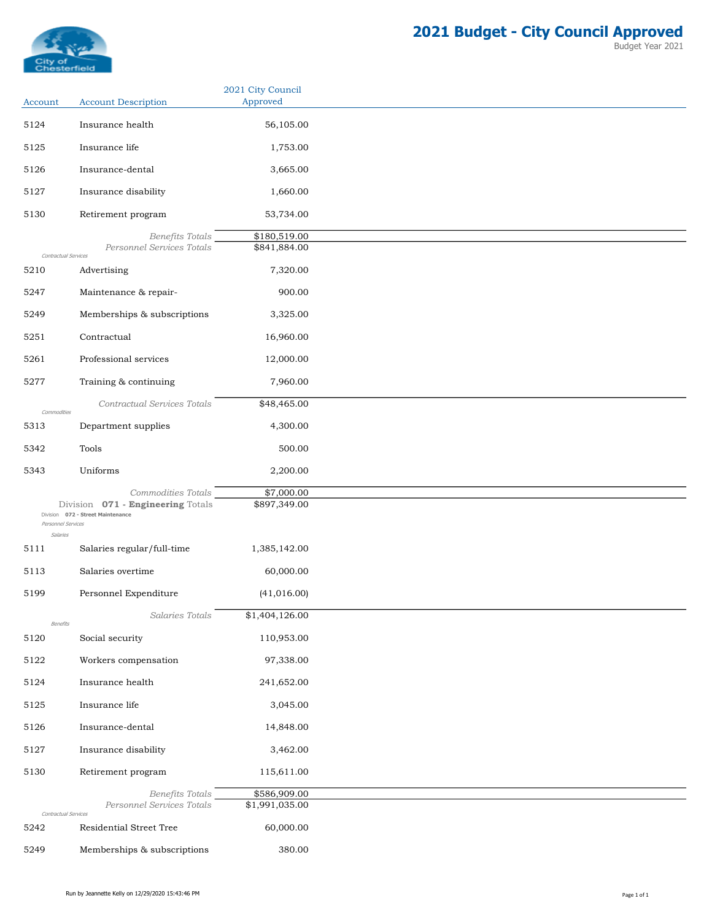

| Account                        | <b>Account Description</b>                                                                   | 2021 City Council<br>Approved  |
|--------------------------------|----------------------------------------------------------------------------------------------|--------------------------------|
| 5124                           | Insurance health                                                                             | 56,105.00                      |
| 5125                           | Insurance life                                                                               | 1,753.00                       |
|                                |                                                                                              |                                |
| 5126                           | Insurance-dental                                                                             | 3,665.00                       |
| 5127                           | Insurance disability                                                                         | 1,660.00                       |
| 5130                           | Retirement program                                                                           | 53,734.00                      |
| Contractual Services           | Benefits Totals<br>Personnel Services Totals                                                 | \$180,519.00<br>\$841,884.00   |
| 5210                           | Advertising                                                                                  | 7,320.00                       |
| 5247                           | Maintenance & repair-                                                                        | 900.00                         |
| 5249                           | Memberships & subscriptions                                                                  | 3,325.00                       |
| 5251                           | Contractual                                                                                  | 16,960.00                      |
| 5261                           | Professional services                                                                        | 12,000.00                      |
| 5277                           | Training & continuing                                                                        | 7,960.00                       |
|                                | Contractual Services Totals                                                                  | \$48,465.00                    |
| Commodities<br>5313            | Department supplies                                                                          | 4,300.00                       |
|                                | Tools                                                                                        |                                |
| 5342                           |                                                                                              | 500.00                         |
| 5343                           | Uniforms                                                                                     | 2,200.00                       |
|                                | Commodities Totals<br>Division 071 - Engineering Totals<br>Division 072 - Street Maintenance | \$7,000.00<br>\$897,349.00     |
| Personnel Services<br>Salaries |                                                                                              |                                |
| 5111                           | Salaries regular/full-time                                                                   | 1,385,142.00                   |
| 5113                           | Salaries overtime                                                                            | 60,000.00                      |
| 5199                           | Personnel Expenditure                                                                        | (41, 016.00)                   |
|                                | Salaries Totals                                                                              | \$1,404,126.00                 |
| Benefits<br>5120               | Social security                                                                              | 110,953.00                     |
| 5122                           | Workers compensation                                                                         | 97,338.00                      |
| 5124                           | Insurance health                                                                             | 241,652.00                     |
| 5125                           | Insurance life                                                                               | 3,045.00                       |
| 5126                           | Insurance-dental                                                                             | 14,848.00                      |
|                                |                                                                                              |                                |
| 5127                           | Insurance disability                                                                         | 3,462.00                       |
| 5130                           | Retirement program                                                                           | 115,611.00                     |
|                                | Benefits Totals<br>Personnel Services Totals                                                 | \$586,909.00<br>\$1,991,035.00 |
| Contractual Services<br>5242   | Residential Street Tree                                                                      | 60,000.00                      |
| 5249                           | Memberships & subscriptions                                                                  | 380.00                         |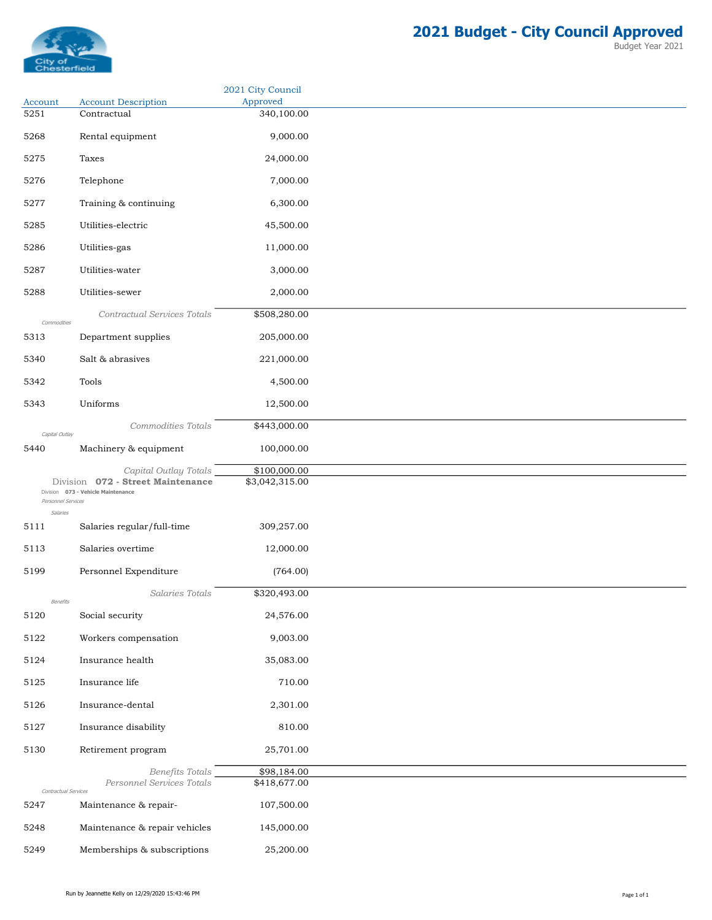

|                                |                                                                                                  | 2021 City Council              |
|--------------------------------|--------------------------------------------------------------------------------------------------|--------------------------------|
| Account<br>5251                | <b>Account Description</b><br>Contractual                                                        | Approved<br>340,100.00         |
| 5268                           | Rental equipment                                                                                 | 9,000.00                       |
|                                |                                                                                                  |                                |
| 5275                           | Taxes                                                                                            | 24,000.00                      |
| 5276                           | Telephone                                                                                        | 7,000.00                       |
| 5277                           | Training & continuing                                                                            | 6,300.00                       |
| 5285                           | Utilities-electric                                                                               | 45,500.00                      |
| 5286                           | Utilities-gas                                                                                    | 11,000.00                      |
| 5287                           | Utilities-water                                                                                  | 3,000.00                       |
| 5288                           | Utilities-sewer                                                                                  | 2,000.00                       |
|                                | Contractual Services Totals                                                                      | \$508,280.00                   |
| Commodities<br>5313            | Department supplies                                                                              | 205,000.00                     |
| 5340                           | Salt & abrasives                                                                                 | 221,000.00                     |
| 5342                           | Tools                                                                                            | 4,500.00                       |
| 5343                           | Uniforms                                                                                         | 12,500.00                      |
|                                | Commodities Totals                                                                               | \$443,000.00                   |
| Capital Outlay<br>5440         | Machinery & equipment                                                                            | 100,000.00                     |
| Personnel Services<br>Salaries | Capital Outlay Totals<br>Division 072 - Street Maintenance<br>Division 073 - Vehicle Maintenance | \$100,000.00<br>\$3,042,315.00 |
| 5111                           | Salaries regular/full-time                                                                       | 309,257.00                     |
| 5113                           | Salaries overtime                                                                                | 12,000.00                      |
| 5199                           | Personnel Expenditure                                                                            | (764.00)                       |
|                                | Salaries Totals                                                                                  | \$320,493.00                   |
| Benefits<br>5120               | Social security                                                                                  | 24,576.00                      |
| 5122                           | Workers compensation                                                                             | 9,003.00                       |
| 5124                           | Insurance health                                                                                 | 35,083.00                      |
| 5125                           | Insurance life                                                                                   | 710.00                         |
| 5126                           | Insurance-dental                                                                                 | 2,301.00                       |
| 5127                           | Insurance disability                                                                             | 810.00                         |
| 5130                           | Retirement program                                                                               | 25,701.00                      |
|                                | Benefits Totals                                                                                  | \$98,184.00                    |
| Contractual Services           | Personnel Services Totals                                                                        | \$418,677.00                   |
| 5247                           | Maintenance & repair-                                                                            | 107,500.00                     |
| 5248                           | Maintenance & repair vehicles                                                                    | 145,000.00                     |
| 5249                           | Memberships & subscriptions                                                                      | 25,200.00                      |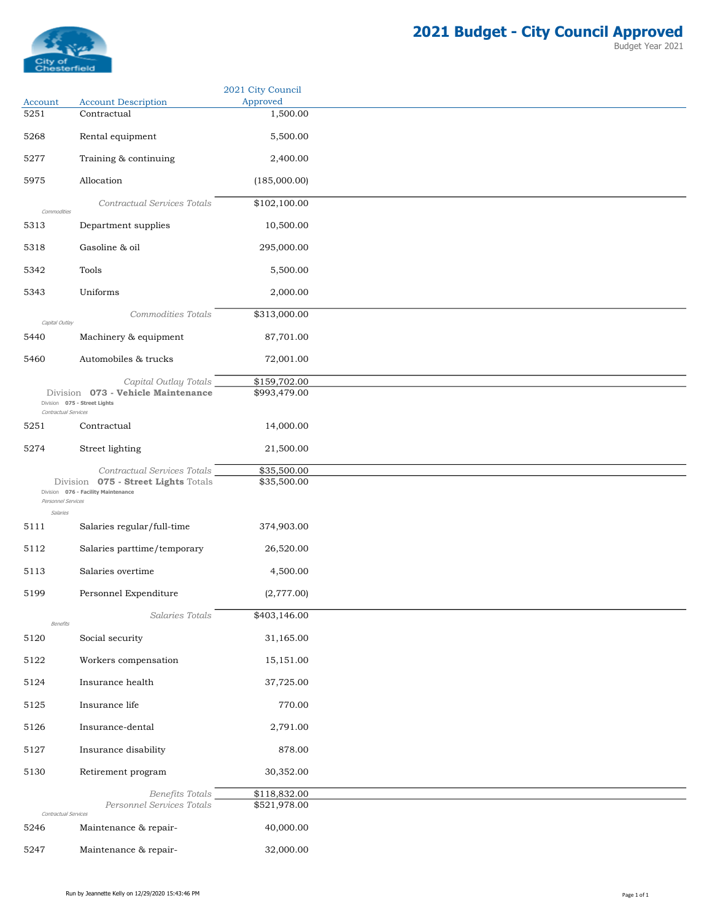

|                                |                                                                            | 2021 City Council            |
|--------------------------------|----------------------------------------------------------------------------|------------------------------|
| Account<br>5251                | <b>Account Description</b><br>Contractual                                  | Approved<br>1,500.00         |
| 5268                           | Rental equipment                                                           | 5,500.00                     |
|                                |                                                                            |                              |
| 5277                           | Training & continuing                                                      | 2,400.00                     |
| 5975                           | Allocation                                                                 | (185,000.00)                 |
| Commodities                    | Contractual Services Totals                                                | \$102,100.00                 |
| 5313                           | Department supplies                                                        | 10,500.00                    |
| 5318                           | Gasoline & oil                                                             | 295,000.00                   |
| 5342                           | Tools                                                                      | 5,500.00                     |
| 5343                           | Uniforms                                                                   | 2,000.00                     |
|                                | Commodities Totals                                                         | \$313,000.00                 |
| Capital Outlay<br>5440         | Machinery & equipment                                                      | 87,701.00                    |
|                                |                                                                            |                              |
| 5460                           | Automobiles & trucks                                                       | 72,001.00                    |
|                                | Capital Outlay Totals<br>Division 073 - Vehicle Maintenance                | \$159,702.00<br>\$993,479.00 |
| Contractual Services           | Division 075 - Street Lights                                               |                              |
| 5251                           | Contractual                                                                | 14,000.00                    |
| 5274                           | Street lighting                                                            | 21,500.00                    |
|                                | Contractual Services Totals                                                | \$35,500.00                  |
|                                | Division 075 - Street Lights Totals<br>Division 076 - Facility Maintenance | \$35,500.00                  |
| Personnel Services<br>Salaries |                                                                            |                              |
| 5111                           | Salaries regular/full-time                                                 | 374,903.00                   |
| 5112                           | Salaries parttime/temporary                                                | 26,520.00                    |
| 5113                           | Salaries overtime                                                          | 4,500.00                     |
| 5199                           | Personnel Expenditure                                                      | (2,777.00)                   |
|                                | Salaries Totals                                                            | \$403,146.00                 |
| Benefits                       |                                                                            |                              |
| 5120                           | Social security                                                            | 31,165.00                    |
| 5122                           | Workers compensation                                                       | 15,151.00                    |
| 5124                           | Insurance health                                                           | 37,725.00                    |
| 5125                           | Insurance life                                                             | 770.00                       |
| 5126                           | Insurance-dental                                                           | 2,791.00                     |
| 5127                           | Insurance disability                                                       | 878.00                       |
| 5130                           | Retirement program                                                         | 30,352.00                    |
|                                | <b>Benefits Totals</b>                                                     | \$118,832.00                 |
|                                | Personnel Services Totals                                                  | \$521,978.00                 |
| Contractual Services<br>5246   | Maintenance & repair-                                                      | 40,000.00                    |
| 5247                           | Maintenance & repair-                                                      | 32,000.00                    |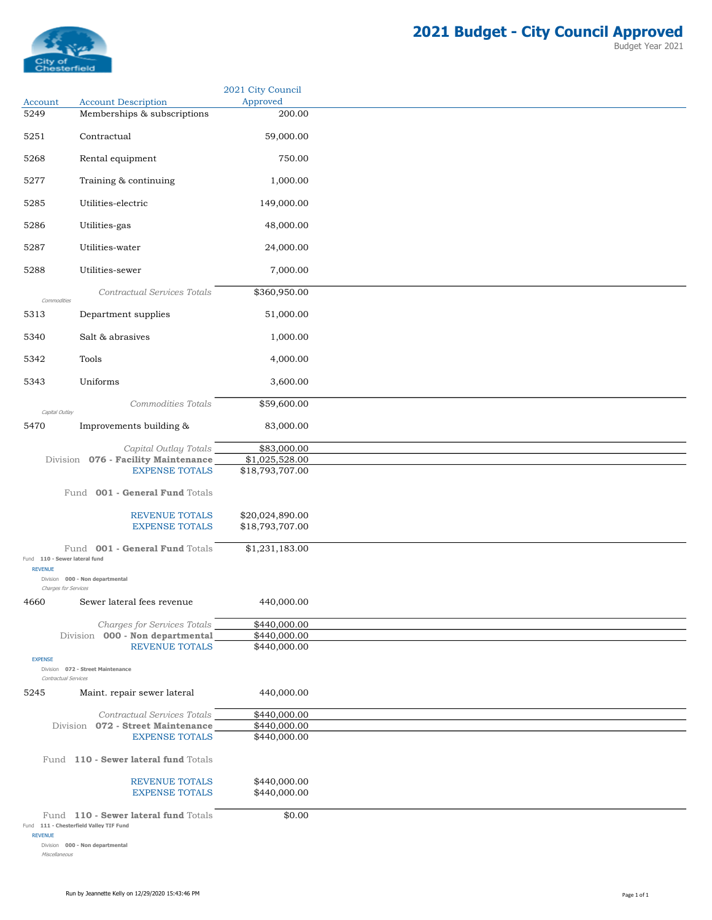

|                        |                                                            | 2021 City Council            |
|------------------------|------------------------------------------------------------|------------------------------|
| Account<br>5249        | <b>Account Description</b><br>Memberships & subscriptions  | Approved<br>200.00           |
|                        |                                                            |                              |
| 5251                   | Contractual                                                | 59,000.00                    |
| 5268                   | Rental equipment                                           | 750.00                       |
| 5277                   | Training & continuing                                      | 1,000.00                     |
| 5285                   | Utilities-electric                                         | 149,000.00                   |
| 5286                   | Utilities-gas                                              | 48,000.00                    |
| 5287                   | Utilities-water                                            | 24,000.00                    |
| 5288                   | Utilities-sewer                                            | 7,000.00                     |
| Commodities            | Contractual Services Totals                                | \$360,950.00                 |
| 5313                   | Department supplies                                        | 51,000.00                    |
| 5340                   | Salt & abrasives                                           | 1,000.00                     |
| 5342                   | Tools                                                      | 4,000.00                     |
| 5343                   | Uniforms                                                   | 3,600.00                     |
|                        | Commodities Totals                                         | \$59,600.00                  |
| Capital Outlay<br>5470 | Improvements building &                                    | 83,000.00                    |
|                        | Capital Outlay Totals                                      | \$83,000.00                  |
|                        | Division 076 - Facility Maintenance                        | \$1,025,528.00               |
|                        | <b>EXPENSE TOTALS</b>                                      | \$18,793,707.00              |
|                        | Fund 001 - General Fund Totals                             |                              |
|                        | REVENUE TOTALS                                             | \$20,024,890.00              |
|                        | <b>EXPENSE TOTALS</b>                                      | \$18,793,707.00              |
|                        | Fund 001 - General Fund Totals                             | \$1,231,183.00               |
| <b>REVENUE</b>         | Fund 110 - Sewer lateral fund                              |                              |
|                        | Division 000 - Non departmental<br>Charges for Services    |                              |
| 4660                   | Sewer lateral fees revenue                                 | 440,000.00                   |
|                        | Charges for Services Totals                                | \$440,000.00                 |
|                        | Division 000 - Non departmental                            | \$440,000.00                 |
|                        | <b>REVENUE TOTALS</b>                                      | \$440,000.00                 |
| <b>EXPENSE</b>         | Division 072 - Street Maintenance                          |                              |
|                        | Contractual Services                                       |                              |
| 5245                   | Maint. repair sewer lateral                                | 440,000.00                   |
|                        | Contractual Services Totals                                | \$440,000.00                 |
|                        | Division 072 - Street Maintenance<br><b>EXPENSE TOTALS</b> | \$440,000.00<br>\$440,000.00 |
|                        | Fund 110 - Sewer lateral fund Totals                       |                              |
|                        |                                                            |                              |
|                        | REVENUE TOTALS<br><b>EXPENSE TOTALS</b>                    | \$440,000.00<br>\$440,000.00 |
|                        | Fund 110 - Sewer lateral fund Totals                       | \$0.00                       |
|                        | Fund 111 - Chesterfield Valley TIF Fund                    |                              |
| <b>REVENUE</b>         |                                                            |                              |

Division 000 - Non departmental Miscellaneous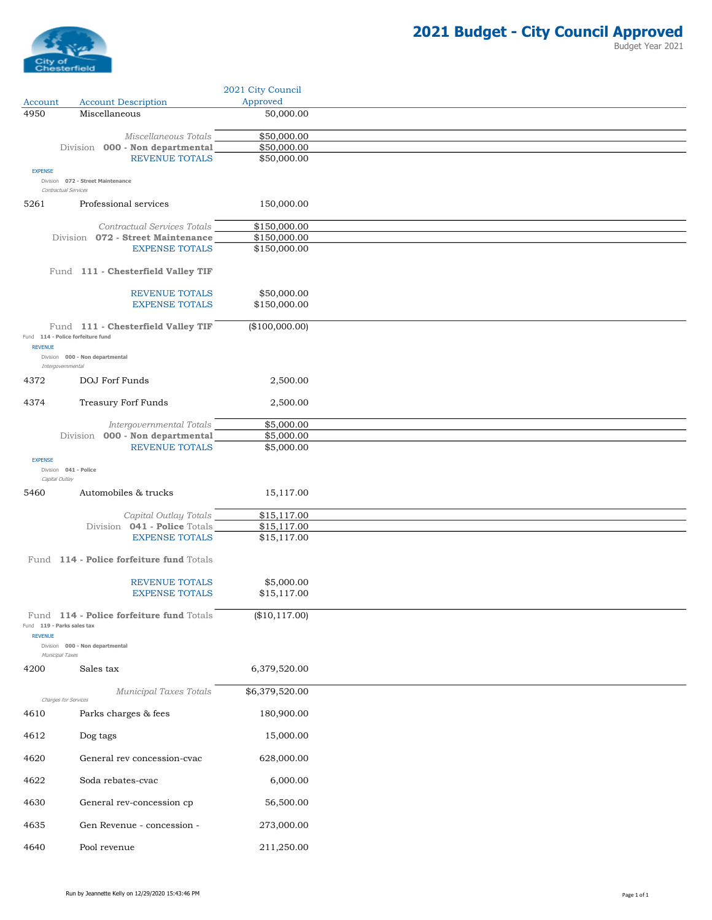

|                        |                                                           | 2021 City Council          |
|------------------------|-----------------------------------------------------------|----------------------------|
| Account<br>4950        | <b>Account Description</b><br>Miscellaneous               | Approved<br>50,000.00      |
|                        |                                                           |                            |
|                        | Miscellaneous Totals<br>Division 000 - Non departmental   | \$50,000.00<br>\$50,000.00 |
|                        | <b>REVENUE TOTALS</b>                                     | \$50,000.00                |
| <b>EXPENSE</b>         |                                                           |                            |
|                        | Division 072 - Street Maintenance<br>Contractual Services |                            |
| 5261                   | Professional services                                     | 150,000.00                 |
|                        | Contractual Services Totals                               | \$150,000.00               |
|                        | Division 072 - Street Maintenance                         | \$150,000.00               |
|                        | <b>EXPENSE TOTALS</b>                                     | \$150,000.00               |
|                        | Fund 111 - Chesterfield Valley TIF                        |                            |
|                        | <b>REVENUE TOTALS</b>                                     | \$50,000.00                |
|                        | <b>EXPENSE TOTALS</b>                                     | \$150,000.00               |
|                        | Fund 111 - Chesterfield Valley TIF                        | (\$100,000.00)             |
| <b>REVENUE</b>         | Fund 114 - Police forfeiture fund                         |                            |
|                        | Division 000 - Non departmental                           |                            |
| 4372                   | Intergovernmental<br>DOJ Forf Funds                       | 2,500.00                   |
|                        |                                                           |                            |
| 4374                   | <b>Treasury Forf Funds</b>                                | 2,500.00                   |
|                        | Intergovernmental Totals                                  | \$5,000.00                 |
|                        | Division 000 - Non departmental                           | \$5,000.00                 |
| <b>EXPENSE</b>         | <b>REVENUE TOTALS</b>                                     | \$5,000.00                 |
|                        | Division 041 - Police                                     |                            |
| Capital Outlay<br>5460 | Automobiles & trucks                                      |                            |
|                        |                                                           | 15,117.00                  |
|                        | Capital Outlay Totals                                     | \$15,117.00                |
|                        | Division 041 - Police Totals<br><b>EXPENSE TOTALS</b>     | \$15,117.00<br>\$15,117.00 |
|                        |                                                           |                            |
|                        | Fund 114 - Police forfeiture fund Totals                  |                            |
|                        | <b>REVENUE TOTALS</b>                                     | \$5,000.00                 |
|                        | <b>EXPENSE TOTALS</b>                                     | \$15,117.00                |
|                        | Fund 114 - Police forfeiture fund Totals                  | (\$10,117.00)              |
| <b>REVENUE</b>         | Fund 119 - Parks sales tax                                |                            |
|                        | Division 000 - Non departmental                           |                            |
| 4200                   | Municipal Taxes<br>Sales tax                              | 6,379,520.00               |
|                        | Municipal Taxes Totals<br>Charges for Services            | \$6,379,520.00             |
| 4610                   | Parks charges & fees                                      | 180,900.00                 |
| 4612                   | Dog tags                                                  | 15,000.00                  |
| 4620                   | General rev concession-cvac                               | 628,000.00                 |
|                        |                                                           |                            |
| 4622                   | Soda rebates-cvac                                         | 6,000.00                   |
| 4630                   | General rev-concession cp                                 | 56,500.00                  |
| 4635                   | Gen Revenue - concession -                                | 273,000.00                 |
| 4640                   | Pool revenue                                              | 211,250.00                 |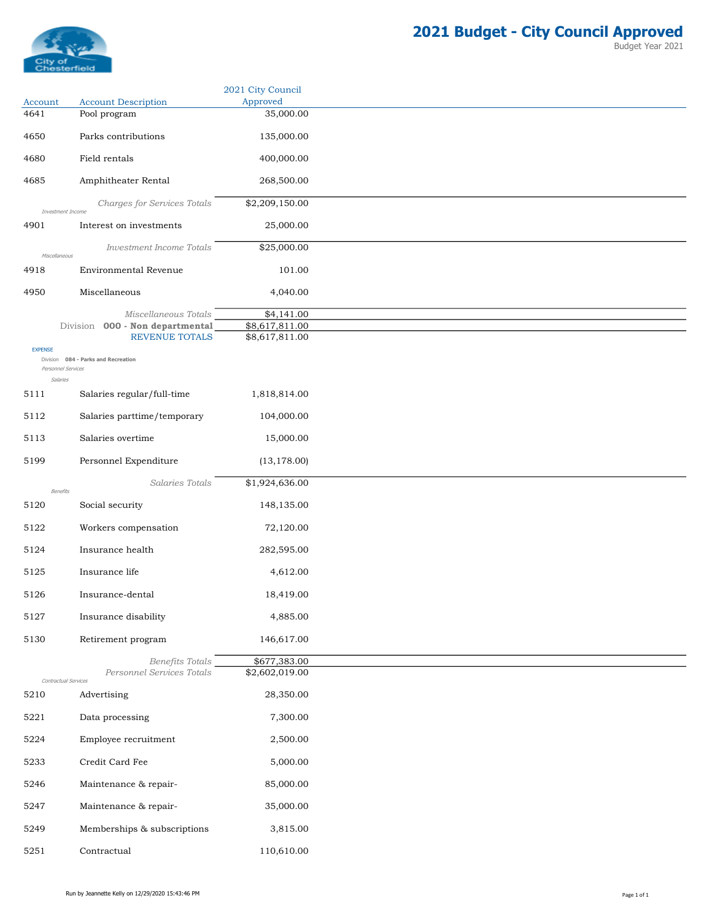

|                                |                                            | 2021 City Council     |
|--------------------------------|--------------------------------------------|-----------------------|
| Account<br>4641                | <b>Account Description</b><br>Pool program | Approved<br>35,000.00 |
|                                |                                            |                       |
| 4650                           | Parks contributions                        | 135,000.00            |
| 4680                           | Field rentals                              | 400,000.00            |
| 4685                           | Amphitheater Rental                        | 268,500.00            |
| Investment Income              | Charges for Services Totals                | \$2,209,150.00        |
| 4901                           | Interest on investments                    | 25,000.00             |
| Miscellaneous                  | <b>Investment Income Totals</b>            | \$25,000.00           |
| 4918                           | Environmental Revenue                      | 101.00                |
| 4950                           | Miscellaneous                              | 4,040.00              |
|                                | Miscellaneous Totals                       | \$4,141.00            |
|                                | Division 000 - Non departmental            | \$8,617,811.00        |
| <b>EXPENSE</b>                 | <b>REVENUE TOTALS</b>                      | \$8,617,811.00        |
|                                | Division 084 - Parks and Recreation        |                       |
| Personnel Services<br>Salaries |                                            |                       |
| 5111                           | Salaries regular/full-time                 | 1,818,814.00          |
| 5112                           | Salaries parttime/temporary                | 104,000.00            |
| 5113                           | Salaries overtime                          | 15,000.00             |
| 5199                           | Personnel Expenditure                      | (13, 178.00)          |
|                                | Salaries Totals                            | \$1,924,636.00        |
| Benefits<br>5120               | Social security                            | 148,135.00            |
|                                |                                            |                       |
| 5122                           | Workers compensation                       | 72,120.00             |
| 5124                           | Insurance health                           | 282,595.00            |
| 5125                           | Insurance life                             | 4,612.00              |
| 5126                           | Insurance-dental                           | 18,419.00             |
| 5127                           | Insurance disability                       | 4,885.00              |
| 5130                           | Retirement program                         | 146,617.00            |
|                                | Benefits Totals                            | \$677,383.00          |
|                                | Personnel Services Totals                  | \$2,602,019.00        |
| Contractual Services<br>5210   | Advertising                                | 28,350.00             |
| 5221                           | Data processing                            | 7,300.00              |
|                                |                                            |                       |
| 5224                           | Employee recruitment                       | 2,500.00              |
| 5233                           | Credit Card Fee                            | 5,000.00              |
| 5246                           | Maintenance & repair-                      | 85,000.00             |
| 5247                           | Maintenance & repair-                      | 35,000.00             |
| 5249                           | Memberships & subscriptions                | 3,815.00              |
| 5251                           | Contractual                                | 110,610.00            |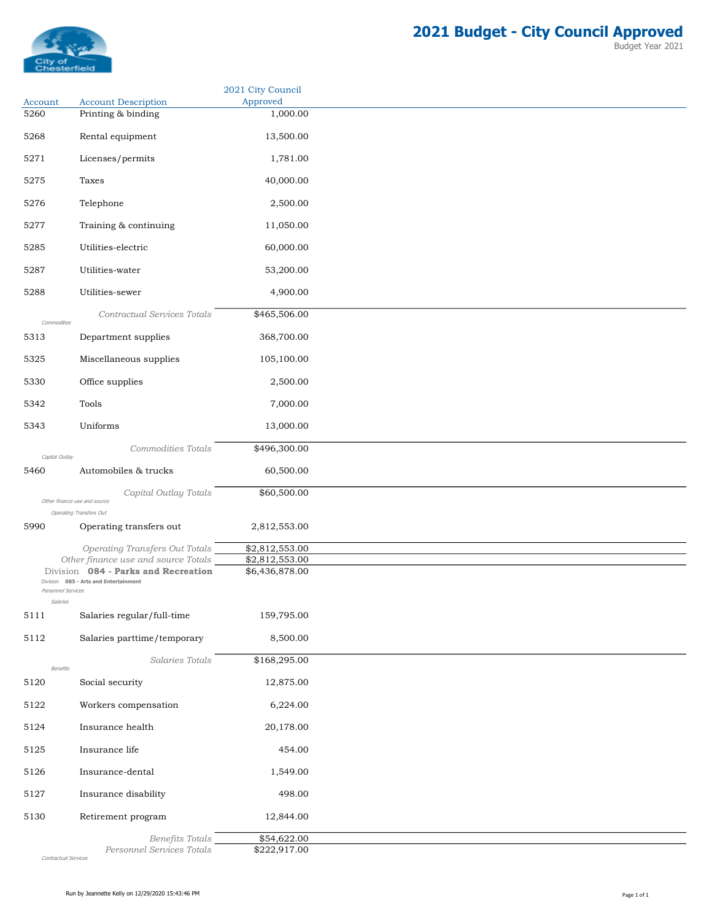

Budget Year 2021

|                                |                                                                            | 2021 City Council                            |
|--------------------------------|----------------------------------------------------------------------------|----------------------------------------------|
| Account<br>5260                | <b>Account Description</b><br>Printing & binding                           | Approved                                     |
|                                |                                                                            | 1,000.00                                     |
| 5268                           | Rental equipment                                                           | 13,500.00                                    |
| 5271                           | Licenses/permits                                                           | 1,781.00                                     |
| 5275                           | Taxes                                                                      | 40,000.00                                    |
| 5276                           | Telephone                                                                  | 2,500.00                                     |
| 5277                           | Training & continuing                                                      | 11,050.00                                    |
| 5285                           | Utilities-electric                                                         | 60,000.00                                    |
| 5287                           | Utilities-water                                                            | 53,200.00                                    |
| 5288                           | Utilities-sewer                                                            | 4,900.00                                     |
|                                |                                                                            |                                              |
| Commodities                    | Contractual Services Totals                                                | \$465,506.00                                 |
| 5313                           | Department supplies                                                        | 368,700.00                                   |
| 5325                           | Miscellaneous supplies                                                     | 105,100.00                                   |
| 5330                           | Office supplies                                                            | 2,500.00                                     |
| 5342                           | Tools                                                                      | 7,000.00                                     |
| 5343                           | Uniforms                                                                   | 13,000.00                                    |
| Capital Outlay                 | Commodities Totals                                                         | \$496,300.00                                 |
| 5460                           | Automobiles & trucks                                                       | 60,500.00                                    |
|                                | Capital Outlay Totals                                                      | \$60,500.00                                  |
|                                | Other finance use and source<br>Operating Transfers Out                    |                                              |
| 5990                           | Operating transfers out                                                    | 2,812,553.00                                 |
|                                | <b>Operating Transfers Out Totals</b>                                      | \$2,812,553.00                               |
|                                | Other finance use and source Totals<br>Division 084 - Parks and Recreation | $\overline{$2,812,553.00}$<br>\$6,436,878.00 |
|                                | Division 085 - Arts and Entertainment                                      |                                              |
| Personnel Services<br>Salaries |                                                                            |                                              |
| 5111                           | Salaries regular/full-time                                                 | 159,795.00                                   |
| 5112                           | Salaries parttime/temporary                                                | 8,500.00                                     |
|                                | Salaries Totals                                                            | \$168,295.00                                 |
| Benefits<br>5120               | Social security                                                            | 12,875.00                                    |
| 5122                           | Workers compensation                                                       | 6,224.00                                     |
| 5124                           | Insurance health                                                           | 20,178.00                                    |
| 5125                           | Insurance life                                                             | 454.00                                       |
| 5126                           | Insurance-dental                                                           | 1,549.00                                     |
| 5127                           | Insurance disability                                                       | 498.00                                       |
| 5130                           | Retirement program                                                         | 12,844.00                                    |
|                                |                                                                            |                                              |
|                                | Benefits Totals<br>Personnel Services Totals                               | \$54,622.00<br>\$222,917.00                  |

Contractual Services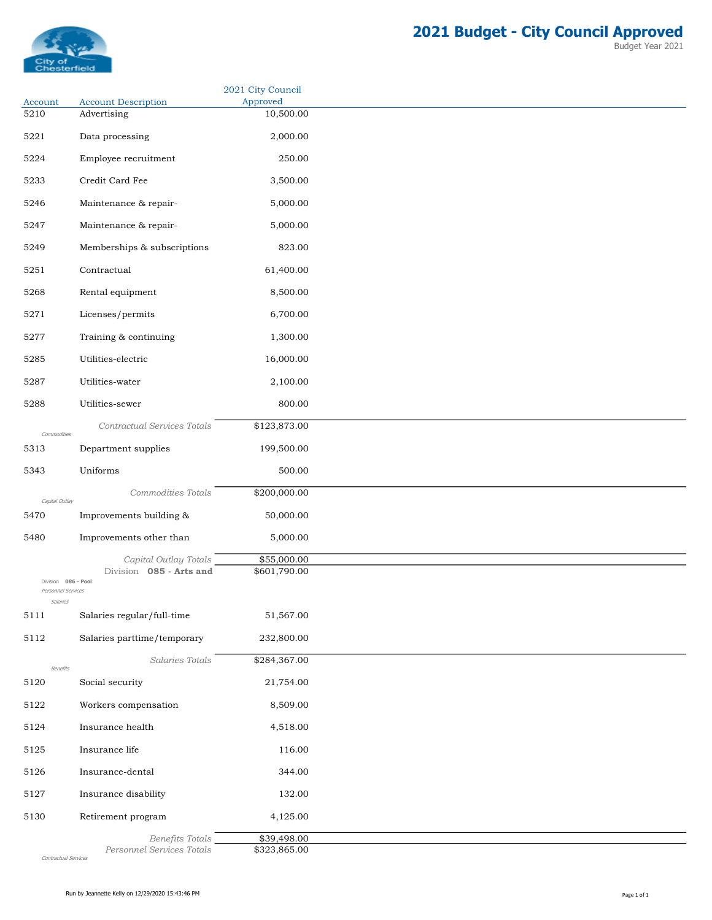

Account Account Description<br>5210 Advertising

5221 Data processing 2,000.00

Advertising 10,500.00

2021 City Council Approved

| 5224                           | Employee recruitment        | 250.00       |
|--------------------------------|-----------------------------|--------------|
| 5233                           | Credit Card Fee             | 3,500.00     |
| 5246                           | Maintenance & repair-       | 5,000.00     |
| 5247                           | Maintenance & repair-       | 5,000.00     |
| 5249                           | Memberships & subscriptions | 823.00       |
| 5251                           | Contractual                 | 61,400.00    |
| 5268                           | Rental equipment            | 8,500.00     |
| 5271                           | Licenses/permits            | 6,700.00     |
| 5277                           | Training & continuing       | 1,300.00     |
| 5285                           | Utilities-electric          | 16,000.00    |
| 5287                           | Utilities-water             | 2,100.00     |
| 5288                           | Utilities-sewer             | 800.00       |
| Commodities                    | Contractual Services Totals | \$123,873.00 |
| 5313                           | Department supplies         | 199,500.00   |
| 5343                           | Uniforms                    | 500.00       |
| Capital Outlay                 | Commodities Totals          | \$200,000.00 |
| 5470                           | Improvements building &     | 50,000.00    |
| 5480                           | Improvements other than     | 5,000.00     |
|                                | Capital Outlay Totals       | \$55,000.00  |
| Division 086 - Pool            | Division 085 - Arts and     | \$601,790.00 |
| Personnel Services<br>Salaries |                             |              |
| 5111                           | Salaries regular/full-time  | 51,567.00    |

Personnel Services Totals

5127 Insurance disability 132.00 5130 Retirement program 4,125.00

5126 Insurance-dental 344.00

5124 Insurance health 4,518.00 5125 Insurance life 116.00

5122 Workers compensation 8,509.00

5120 Social security 21,754.00

5112 Salaries parttime/temporary 232,800.00

Benefits Totals **\$39,498.00**<br>Services Totals \$323,865.00

Salaries Totals \$284,367.00

Contractual Services

Benefits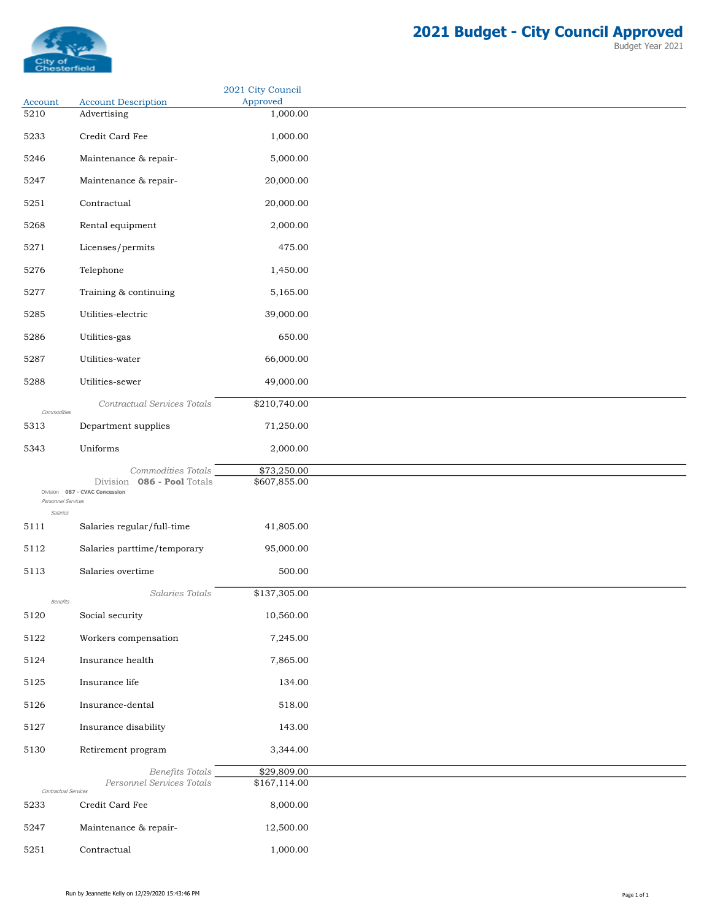

| Budget Year 2021 |  |  |
|------------------|--|--|
|------------------|--|--|

|                                |                                                                 | 2021 City Council    |
|--------------------------------|-----------------------------------------------------------------|----------------------|
| Account<br>5210                | <b>Account Description</b><br>Advertising                       | Approved<br>1,000.00 |
|                                |                                                                 |                      |
| 5233                           | Credit Card Fee                                                 | 1,000.00             |
| 5246                           | Maintenance & repair-                                           | 5,000.00             |
| 5247                           | Maintenance & repair-                                           | 20,000.00            |
| 5251                           | Contractual                                                     | 20,000.00            |
| 5268                           | Rental equipment                                                | 2,000.00             |
|                                |                                                                 |                      |
| 5271                           | Licenses/permits                                                | 475.00               |
| 5276                           | Telephone                                                       | 1,450.00             |
| 5277                           | Training & continuing                                           | 5,165.00             |
| 5285                           | Utilities-electric                                              | 39,000.00            |
| 5286                           | Utilities-gas                                                   | 650.00               |
| 5287                           | Utilities-water                                                 | 66,000.00            |
|                                |                                                                 |                      |
| 5288                           | Utilities-sewer                                                 | 49,000.00            |
| Commodities                    | Contractual Services Totals                                     | \$210,740.00         |
| 5313                           | Department supplies                                             | 71,250.00            |
| 5343                           | Uniforms                                                        | 2,000.00             |
|                                | Commodities Totals                                              | \$73,250.00          |
|                                | 086 - Pool Totals<br>Division<br>Division 087 - CVAC Concession | \$607,855.00         |
| Personnel Services<br>Salaries |                                                                 |                      |
| 5111                           | Salaries regular/full-time                                      | 41,805.00            |
| 5112                           | Salaries parttime/temporary                                     | 95,000.00            |
| 5113                           | Salaries overtime                                               | 500.00               |
|                                |                                                                 |                      |
| Benefits                       | Salaries Totals                                                 | \$137,305.00         |
| 5120                           | Social security                                                 | 10,560.00            |
| 5122                           | Workers compensation                                            | 7,245.00             |
| 5124                           | Insurance health                                                | 7,865.00             |
| 5125                           | Insurance life                                                  | 134.00               |
| 5126                           | Insurance-dental                                                | 518.00               |
|                                |                                                                 |                      |
| 5127                           | Insurance disability                                            | 143.00               |
| 5130                           | Retirement program                                              | 3,344.00             |
|                                | Benefits Totals                                                 | \$29,809.00          |
| Contractual Services           | Personnel Services Totals                                       | \$167,114.00         |
| 5233                           | Credit Card Fee                                                 | 8,000.00             |
| 5247                           | Maintenance & repair-                                           | 12,500.00            |
| 5251                           | Contractual                                                     | 1,000.00             |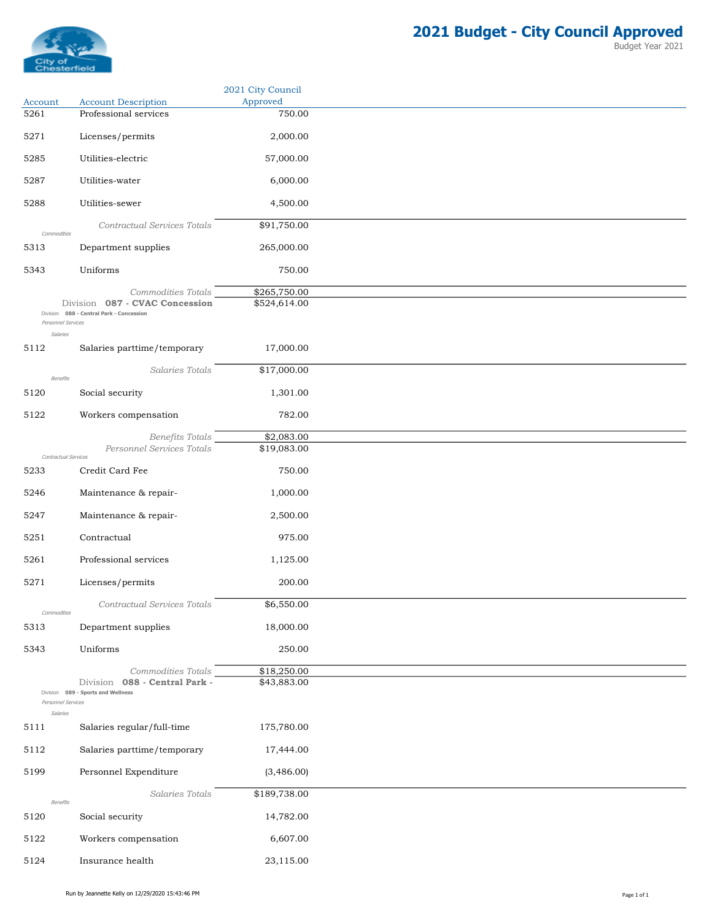

|                                |                                                                     | 2021 City Council            |
|--------------------------------|---------------------------------------------------------------------|------------------------------|
| Account<br>5261                | <b>Account Description</b><br>Professional services                 | Approved<br>750.00           |
|                                |                                                                     |                              |
| 5271                           | Licenses/permits                                                    | 2,000.00                     |
| 5285                           | Utilities-electric                                                  | 57,000.00                    |
| 5287                           | Utilities-water                                                     | 6,000.00                     |
| 5288                           | Utilities-sewer                                                     | 4,500.00                     |
| Commodities                    | Contractual Services Totals                                         | \$91,750.00                  |
| 5313                           | Department supplies                                                 | 265,000.00                   |
| 5343                           | Uniforms                                                            | 750.00                       |
|                                |                                                                     |                              |
|                                | Commodities Totals<br>Division 087 - CVAC Concession                | \$265,750.00<br>\$524,614.00 |
| Personnel Services             | Division 088 - Central Park - Concession                            |                              |
| Salaries                       |                                                                     |                              |
| 5112                           | Salaries parttime/temporary                                         | 17,000.00                    |
| Benefits                       | Salaries Totals                                                     | \$17,000.00                  |
| 5120                           | Social security                                                     | 1,301.00                     |
| 5122                           | Workers compensation                                                | 782.00                       |
|                                | Benefits Totals                                                     | \$2,083.00                   |
| Contractual Services           | Personnel Services Totals                                           | \$19,083.00                  |
| 5233                           | Credit Card Fee                                                     | 750.00                       |
| 5246                           | Maintenance & repair-                                               | 1,000.00                     |
| 5247                           | Maintenance & repair-                                               | 2,500.00                     |
| 5251                           | Contractual                                                         | 975.00                       |
| 5261                           | Professional services                                               | 1,125.00                     |
| 5271                           | Licenses/permits                                                    | 200.00                       |
|                                |                                                                     |                              |
| Commodities                    | Contractual Services Totals                                         | \$6,550.00                   |
| 5313                           | Department supplies                                                 | 18,000.00                    |
| 5343                           | Uniforms                                                            | 250.00                       |
|                                | Commodities Totals                                                  | \$18,250.00                  |
|                                | Division 088 - Central Park -<br>Division 089 - Sports and Wellness | \$43,883.00                  |
| Personnel Services<br>Salaries |                                                                     |                              |
| 5111                           | Salaries regular/full-time                                          | 175,780.00                   |
| 5112                           | Salaries parttime/temporary                                         | 17,444.00                    |
| 5199                           | Personnel Expenditure                                               | (3,486.00)                   |
|                                | Salaries Totals                                                     | \$189,738.00                 |
| Benefits                       |                                                                     |                              |
| 5120                           | Social security                                                     | 14,782.00                    |
| 5122                           | Workers compensation                                                | 6,607.00                     |
| 5124                           | Insurance health                                                    | 23,115.00                    |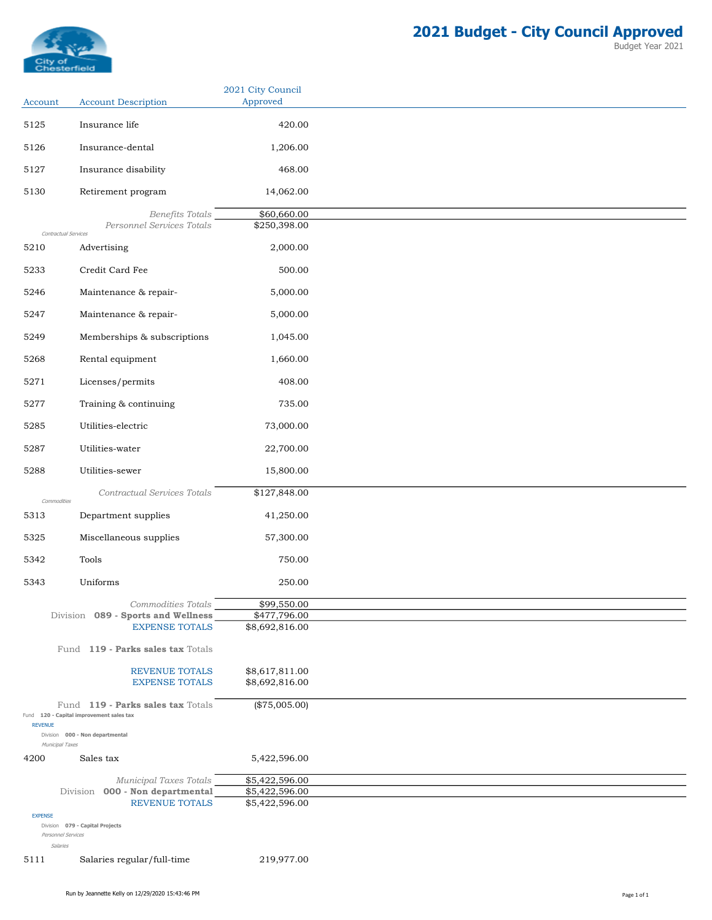

|                                    | 2021 City Council<br>Approved                                                                                                                                                                                                                                                                                                                                                                                                                                                                              |
|------------------------------------|------------------------------------------------------------------------------------------------------------------------------------------------------------------------------------------------------------------------------------------------------------------------------------------------------------------------------------------------------------------------------------------------------------------------------------------------------------------------------------------------------------|
|                                    |                                                                                                                                                                                                                                                                                                                                                                                                                                                                                                            |
| Insurance life                     | 420.00                                                                                                                                                                                                                                                                                                                                                                                                                                                                                                     |
| Insurance-dental                   | 1,206.00                                                                                                                                                                                                                                                                                                                                                                                                                                                                                                   |
| Insurance disability               | 468.00                                                                                                                                                                                                                                                                                                                                                                                                                                                                                                     |
| Retirement program                 | 14,062.00                                                                                                                                                                                                                                                                                                                                                                                                                                                                                                  |
| Benefits Totals                    | \$60,660.00                                                                                                                                                                                                                                                                                                                                                                                                                                                                                                |
| Personnel Services Totals          | \$250,398.00                                                                                                                                                                                                                                                                                                                                                                                                                                                                                               |
| Advertising                        | 2,000.00                                                                                                                                                                                                                                                                                                                                                                                                                                                                                                   |
| Credit Card Fee                    | 500.00                                                                                                                                                                                                                                                                                                                                                                                                                                                                                                     |
| Maintenance & repair-              | 5,000.00                                                                                                                                                                                                                                                                                                                                                                                                                                                                                                   |
| Maintenance & repair-              | 5,000.00                                                                                                                                                                                                                                                                                                                                                                                                                                                                                                   |
|                                    | 1,045.00                                                                                                                                                                                                                                                                                                                                                                                                                                                                                                   |
|                                    | 1,660.00                                                                                                                                                                                                                                                                                                                                                                                                                                                                                                   |
|                                    |                                                                                                                                                                                                                                                                                                                                                                                                                                                                                                            |
|                                    | 408.00                                                                                                                                                                                                                                                                                                                                                                                                                                                                                                     |
| Training & continuing              | 735.00                                                                                                                                                                                                                                                                                                                                                                                                                                                                                                     |
| Utilities-electric                 | 73,000.00                                                                                                                                                                                                                                                                                                                                                                                                                                                                                                  |
| Utilities-water                    | 22,700.00                                                                                                                                                                                                                                                                                                                                                                                                                                                                                                  |
| Utilities-sewer                    | 15,800.00                                                                                                                                                                                                                                                                                                                                                                                                                                                                                                  |
| <b>Contractual Services Totals</b> | \$127,848.00                                                                                                                                                                                                                                                                                                                                                                                                                                                                                               |
| Department supplies                | 41,250.00                                                                                                                                                                                                                                                                                                                                                                                                                                                                                                  |
| Miscellaneous supplies             | 57,300.00                                                                                                                                                                                                                                                                                                                                                                                                                                                                                                  |
| Tools                              | 750.00                                                                                                                                                                                                                                                                                                                                                                                                                                                                                                     |
|                                    | 250.00                                                                                                                                                                                                                                                                                                                                                                                                                                                                                                     |
|                                    | \$99,550.00                                                                                                                                                                                                                                                                                                                                                                                                                                                                                                |
|                                    | \$477,796.00                                                                                                                                                                                                                                                                                                                                                                                                                                                                                               |
|                                    | \$8,692,816.00                                                                                                                                                                                                                                                                                                                                                                                                                                                                                             |
| Fund 119 - Parks sales tax Totals  |                                                                                                                                                                                                                                                                                                                                                                                                                                                                                                            |
| <b>REVENUE TOTALS</b>              | \$8,617,811.00<br>\$8,692,816.00                                                                                                                                                                                                                                                                                                                                                                                                                                                                           |
|                                    |                                                                                                                                                                                                                                                                                                                                                                                                                                                                                                            |
|                                    | $(\$75,005.00)$                                                                                                                                                                                                                                                                                                                                                                                                                                                                                            |
|                                    |                                                                                                                                                                                                                                                                                                                                                                                                                                                                                                            |
| Sales tax                          | 5,422,596.00                                                                                                                                                                                                                                                                                                                                                                                                                                                                                               |
|                                    | \$5,422,596.00                                                                                                                                                                                                                                                                                                                                                                                                                                                                                             |
| 000 - Non departmental<br>Division | \$5,422,596.00                                                                                                                                                                                                                                                                                                                                                                                                                                                                                             |
|                                    | \$5,422,596.00                                                                                                                                                                                                                                                                                                                                                                                                                                                                                             |
|                                    |                                                                                                                                                                                                                                                                                                                                                                                                                                                                                                            |
| Personnel Services                 |                                                                                                                                                                                                                                                                                                                                                                                                                                                                                                            |
| <b>REVENUE</b>                     | <b>Account Description</b><br>Account<br>Contractual Services<br>Memberships & subscriptions<br>Rental equipment<br>Licenses/permits<br>Commodities<br>Uniforms<br>Commodities Totals<br>Division 089 - Sports and Wellness<br><b>EXPENSE TOTALS</b><br><b>EXPENSE TOTALS</b><br>Fund 119 - Parks sales tax Totals<br>Fund 120 - Capital improvement sales tax<br>Division 000 - Non departmental<br>Municipal Taxes<br>Municipal Taxes Totals<br><b>REVENUE TOTALS</b><br>Division 079 - Capital Projects |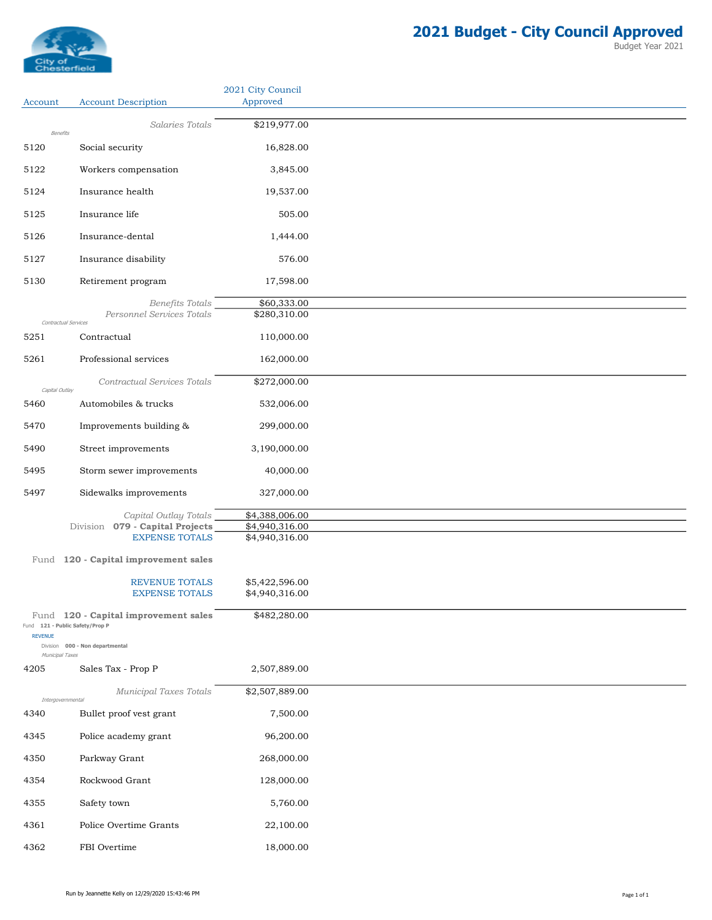

| <b>Account Description</b><br>Salaries Totals<br>Benefits<br>Social security<br>Workers compensation       | Approved<br>\$219,977.00<br>16,828.00                                                                                                                                                                        |
|------------------------------------------------------------------------------------------------------------|--------------------------------------------------------------------------------------------------------------------------------------------------------------------------------------------------------------|
|                                                                                                            |                                                                                                                                                                                                              |
|                                                                                                            |                                                                                                                                                                                                              |
|                                                                                                            |                                                                                                                                                                                                              |
|                                                                                                            | 3,845.00                                                                                                                                                                                                     |
| Insurance health                                                                                           | 19,537.00                                                                                                                                                                                                    |
|                                                                                                            |                                                                                                                                                                                                              |
| Insurance life                                                                                             | 505.00                                                                                                                                                                                                       |
| Insurance-dental                                                                                           | 1,444.00                                                                                                                                                                                                     |
| Insurance disability                                                                                       | 576.00                                                                                                                                                                                                       |
| Retirement program                                                                                         | 17,598.00                                                                                                                                                                                                    |
| Benefits Totals                                                                                            | \$60,333.00                                                                                                                                                                                                  |
| Contractual Services                                                                                       | \$280,310.00                                                                                                                                                                                                 |
| Contractual                                                                                                | 110,000.00                                                                                                                                                                                                   |
| Professional services                                                                                      | 162,000.00                                                                                                                                                                                                   |
| Contractual Services Totals<br>Capital Outlay                                                              | \$272,000.00                                                                                                                                                                                                 |
| Automobiles & trucks                                                                                       | 532,006.00                                                                                                                                                                                                   |
| Improvements building &                                                                                    | 299,000.00                                                                                                                                                                                                   |
| Street improvements                                                                                        | 3,190,000.00                                                                                                                                                                                                 |
|                                                                                                            | 40,000.00                                                                                                                                                                                                    |
|                                                                                                            |                                                                                                                                                                                                              |
|                                                                                                            | 327,000.00                                                                                                                                                                                                   |
| Capital Outlay Totals                                                                                      | \$4,388,006.00<br>\$4,940,316.00                                                                                                                                                                             |
| <b>EXPENSE TOTALS</b>                                                                                      | \$4,940,316.00                                                                                                                                                                                               |
| Fund 120 - Capital improvement sales                                                                       |                                                                                                                                                                                                              |
| <b>REVENUE TOTALS</b>                                                                                      | \$5,422,596.00                                                                                                                                                                                               |
| <b>EXPENSE TOTALS</b>                                                                                      | \$4,940,316.00                                                                                                                                                                                               |
| Fund 120 - Capital improvement sales<br>Fund 121 - Public Safety/Prop P<br>Division 000 - Non departmental | \$482,280.00                                                                                                                                                                                                 |
| Municipal Taxes                                                                                            |                                                                                                                                                                                                              |
|                                                                                                            | 2,507,889.00                                                                                                                                                                                                 |
| Intergovernmental                                                                                          | \$2,507,889.00                                                                                                                                                                                               |
| Bullet proof vest grant                                                                                    | 7,500.00                                                                                                                                                                                                     |
| Police academy grant                                                                                       | 96,200.00                                                                                                                                                                                                    |
| Parkway Grant                                                                                              | 268,000.00                                                                                                                                                                                                   |
| Rockwood Grant                                                                                             | 128,000.00                                                                                                                                                                                                   |
| Safety town                                                                                                | 5,760.00                                                                                                                                                                                                     |
|                                                                                                            | 22,100.00                                                                                                                                                                                                    |
|                                                                                                            | 18,000.00                                                                                                                                                                                                    |
|                                                                                                            | Personnel Services Totals<br>Storm sewer improvements<br>Sidewalks improvements<br>Division 079 - Capital Projects<br>Sales Tax - Prop P<br>Municipal Taxes Totals<br>Police Overtime Grants<br>FBI Overtime |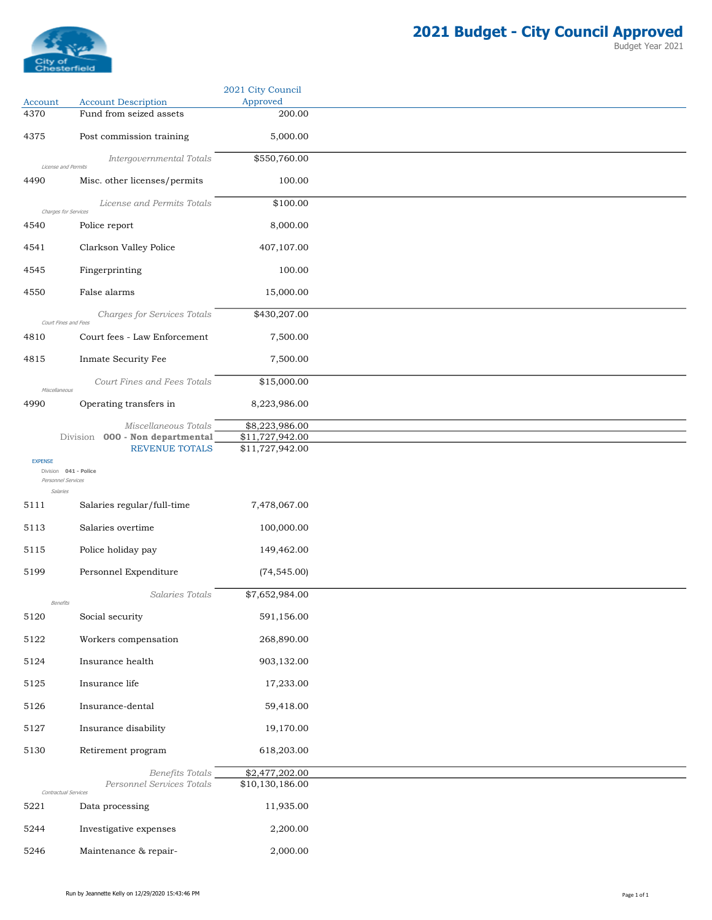

|                            |                                                                                  | 2021 City Council                                    |
|----------------------------|----------------------------------------------------------------------------------|------------------------------------------------------|
| Account<br>4370            | <b>Account Description</b><br>Fund from seized assets                            | Approved<br>200.00                                   |
| 4375                       | Post commission training                                                         | 5,000.00                                             |
|                            |                                                                                  |                                                      |
|                            | Intergovernmental Totals<br>License and Permits                                  | \$550,760.00                                         |
| 4490                       | Misc. other licenses/permits                                                     | 100.00                                               |
|                            | License and Permits Totals<br>Charges for Services                               | \$100.00                                             |
| 4540                       | Police report                                                                    | 8,000.00                                             |
| 4541                       | Clarkson Valley Police                                                           | 407,107.00                                           |
| 4545                       | Fingerprinting                                                                   | 100.00                                               |
| 4550                       | False alarms                                                                     | 15,000.00                                            |
|                            | Charges for Services Totals                                                      | \$430,207.00                                         |
| 4810                       | Court Fines and Fees<br>Court fees - Law Enforcement                             | 7,500.00                                             |
| 4815                       | Inmate Security Fee                                                              | 7,500.00                                             |
|                            | Court Fines and Fees Totals                                                      | \$15,000.00                                          |
| Miscellaneous<br>4990      | Operating transfers in                                                           | 8,223,986.00                                         |
|                            |                                                                                  |                                                      |
|                            | Miscellaneous Totals<br>Division 000 - Non departmental<br><b>REVENUE TOTALS</b> | \$8,223,986.00<br>\$11,727,942.00<br>\$11,727,942.00 |
| <b>EXPENSE</b><br>Salaries | Division 041 - Police<br>Personnel Services                                      |                                                      |
| 5111                       | Salaries regular/full-time                                                       | 7,478,067.00                                         |
| 5113                       | Salaries overtime                                                                | 100,000.00                                           |
| 5115                       | Police holiday pay                                                               | 149,462.00                                           |
| 5199                       | Personnel Expenditure                                                            | (74, 545.00)                                         |
|                            | Salaries Totals                                                                  | \$7,652,984.00                                       |
| 5120                       | Benefits<br>Social security                                                      | 591,156.00                                           |
| 5122                       | Workers compensation                                                             | 268,890.00                                           |
| 5124                       | Insurance health                                                                 | 903,132.00                                           |
| 5125                       | Insurance life                                                                   | 17,233.00                                            |
| 5126                       | Insurance-dental                                                                 | 59,418.00                                            |
| 5127                       | Insurance disability                                                             | 19,170.00                                            |
| 5130                       | Retirement program                                                               | 618,203.00                                           |
|                            | Benefits Totals                                                                  | \$2,477,202.00                                       |
|                            | Personnel Services Totals<br>Contractual Services                                | \$10,130,186.00                                      |
| 5221                       | Data processing                                                                  | 11,935.00                                            |
| 5244                       | Investigative expenses                                                           | 2,200.00                                             |
| 5246                       | Maintenance & repair-                                                            | 2,000.00                                             |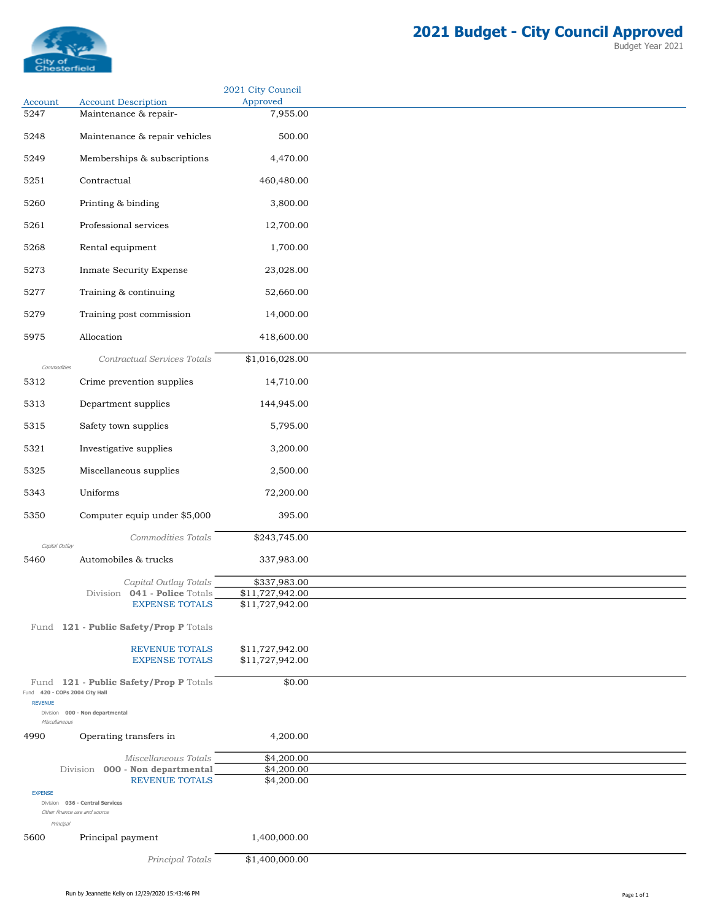

|                                                  |                                                          | 2021 City Council<br>Approved   |
|--------------------------------------------------|----------------------------------------------------------|---------------------------------|
| Account<br>5247                                  | <b>Account Description</b><br>Maintenance & repair-      | 7,955.00                        |
|                                                  |                                                          |                                 |
| 5248                                             | Maintenance & repair vehicles                            | 500.00                          |
| 5249                                             | Memberships & subscriptions                              | 4,470.00                        |
| 5251                                             | Contractual                                              | 460,480.00                      |
| 5260                                             | Printing & binding                                       | 3,800.00                        |
| 5261                                             | Professional services                                    | 12,700.00                       |
| 5268                                             | Rental equipment                                         | 1,700.00                        |
| 5273                                             | Inmate Security Expense                                  | 23,028.00                       |
| 5277                                             | Training & continuing                                    | 52,660.00                       |
| 5279                                             | Training post commission                                 | 14,000.00                       |
| 5975                                             | Allocation                                               | 418,600.00                      |
|                                                  |                                                          |                                 |
| Commodities                                      | Contractual Services Totals                              | \$1,016,028.00                  |
| 5312                                             | Crime prevention supplies                                | 14,710.00                       |
| 5313                                             | Department supplies                                      | 144,945.00                      |
| 5315                                             | Safety town supplies                                     | 5,795.00                        |
| 5321                                             | Investigative supplies                                   | 3,200.00                        |
| 5325                                             | Miscellaneous supplies                                   | 2,500.00                        |
| 5343                                             | Uniforms                                                 | 72,200.00                       |
| 5350                                             | Computer equip under \$5,000                             | 395.00                          |
|                                                  | Commodities Totals                                       | \$243,745.00                    |
| Capital Outlay                                   |                                                          |                                 |
| 5460                                             | Automobiles & trucks                                     | 337,983.00                      |
|                                                  | Capital Outlay Totals<br>Division 041 - Police Totals    | \$337,983.00<br>\$11,727,942.00 |
|                                                  | <b>EXPENSE TOTALS</b>                                    | \$11,727,942.00                 |
|                                                  | Fund 121 - Public Safety/Prop P Totals                   |                                 |
|                                                  | <b>REVENUE TOTALS</b>                                    | \$11,727,942.00                 |
|                                                  | <b>EXPENSE TOTALS</b>                                    | \$11,727,942.00                 |
|                                                  | Fund 121 - Public Safety/Prop P Totals                   | \$0.00                          |
| Fund 420 - COPs 2004 City Hall<br><b>REVENUE</b> |                                                          |                                 |
| Miscellaneous                                    | Division 000 - Non departmental                          |                                 |
| 4990                                             | Operating transfers in                                   | 4,200.00                        |
|                                                  | Miscellaneous Totals                                     | \$4,200.00                      |
|                                                  | Division 000 - Non departmental<br><b>REVENUE TOTALS</b> | \$4,200.00<br>\$4,200.00        |
| <b>EXPENSE</b>                                   | Division 036 - Central Services                          |                                 |
| Other finance use and source<br>Principal        |                                                          |                                 |
| 5600                                             | Principal payment                                        | 1,400,000.00                    |
|                                                  | Principal Totals                                         | \$1,400,000.00                  |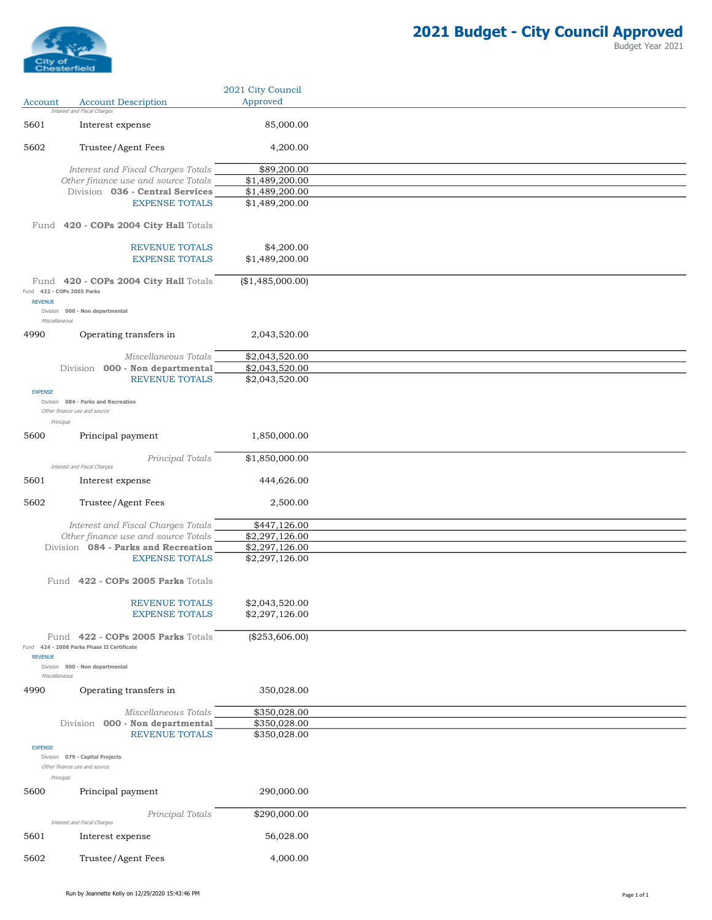

|                |                                                                                  | 2021 City Council                |
|----------------|----------------------------------------------------------------------------------|----------------------------------|
| Account        | <b>Account Description</b><br>Interest and Fiscal Charges                        | Approved                         |
| 5601           | Interest expense                                                                 | 85,000.00                        |
| 5602           | Trustee/Agent Fees                                                               | 4,200.00                         |
|                |                                                                                  |                                  |
|                | Interest and Fiscal Charges Totals<br>Other finance use and source Totals        | \$89,200.00<br>\$1,489,200.00    |
|                | Division 036 - Central Services                                                  | \$1,489,200.00                   |
|                | <b>EXPENSE TOTALS</b>                                                            | \$1,489,200.00                   |
| Fund           | 420 - COPs 2004 City Hall Totals                                                 |                                  |
|                | <b>REVENUE TOTALS</b>                                                            | \$4,200.00                       |
|                | <b>EXPENSE TOTALS</b>                                                            | \$1,489,200.00                   |
|                | Fund 420 - COPs 2004 City Hall Totals                                            | (\$1,485,000.00)                 |
|                | Fund 422 - COPs 2005 Parks                                                       |                                  |
| <b>REVENUE</b> | Division 000 - Non departmental<br>Miscellaneous                                 |                                  |
| 4990           | Operating transfers in                                                           | 2,043,520.00                     |
|                |                                                                                  |                                  |
|                | Miscellaneous Totals                                                             | \$2,043,520.00                   |
|                | Division 000 - Non departmental<br><b>REVENUE TOTALS</b>                         | \$2,043,520.00<br>\$2,043,520.00 |
| <b>EXPENSE</b> |                                                                                  |                                  |
|                | Division 084 - Parks and Recreation<br>Other finance use and source<br>Principal |                                  |
| 5600           | Principal payment                                                                | 1,850,000.00                     |
|                |                                                                                  |                                  |
|                | Principal Totals<br>Interest and Fiscal Charges                                  | \$1,850,000.00                   |
| 5601           | Interest expense                                                                 | 444,626.00                       |
| 5602           | Trustee/Agent Fees                                                               | 2,500.00                         |
|                | Interest and Fiscal Charges Totals                                               | \$447,126.00                     |
|                | Other finance use and source Totals                                              | \$2,297,126.00                   |
|                | Division 084 - Parks and Recreation<br><b>EXPENSE TOTALS</b>                     | \$2,297,126.00<br>\$2,297,126.00 |
|                |                                                                                  |                                  |
|                | Fund 422 - COPs 2005 Parks Totals                                                |                                  |
|                | REVENUE TOTALS                                                                   | \$2,043,520.00                   |
|                | <b>EXPENSE TOTALS</b>                                                            | \$2,297,126.00                   |
| <b>REVENUE</b> | Fund 422 - COPs 2005 Parks Totals<br>Fund 424 - 2008 Parks Phase II Certificate  | (\$253,606.00)                   |
|                | Division 000 - Non departmental                                                  |                                  |
|                | Miscellaneous                                                                    |                                  |
| 4990           | Operating transfers in                                                           | 350,028.00                       |
|                | Miscellaneous Totals                                                             | \$350,028.00                     |
|                | Division 000 - Non departmental                                                  | \$350,028.00                     |
|                | <b>REVENUE TOTALS</b>                                                            | \$350,028.00                     |
| <b>EXPENSE</b> | Division 079 - Capital Projects<br>Other finance use and source<br>Principal     |                                  |
| 5600           | Principal payment                                                                | 290,000.00                       |
|                | Principal Totals<br>Interest and Fiscal Charges                                  | \$290,000.00                     |
| 5601           | Interest expense                                                                 | 56,028.00                        |
| 5602           |                                                                                  | 4,000.00                         |
|                | Trustee/Agent Fees                                                               |                                  |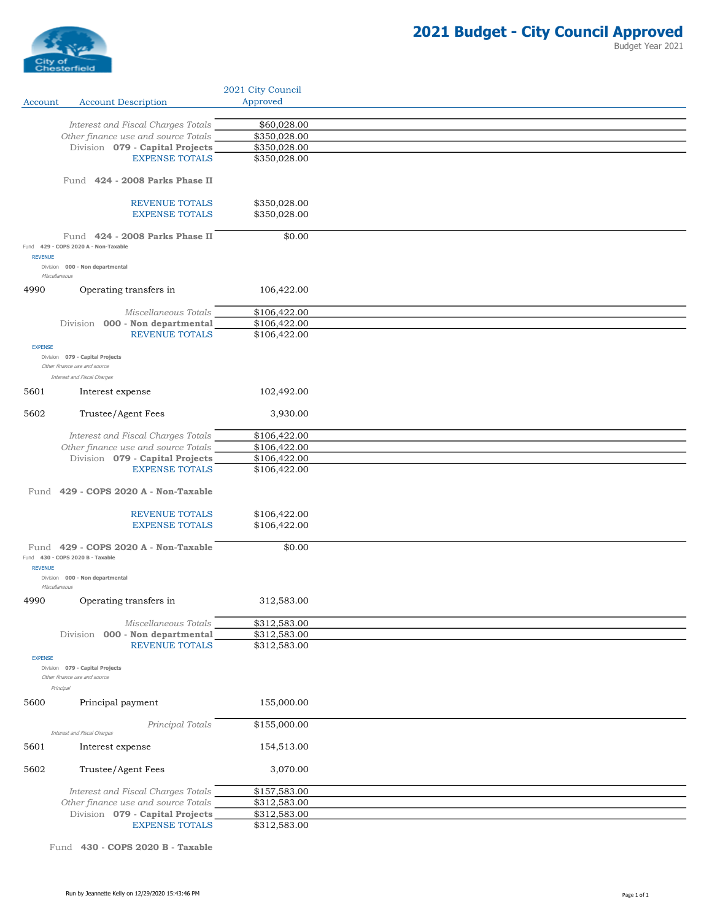

|                |                                                                              | 2021 City Council            |  |
|----------------|------------------------------------------------------------------------------|------------------------------|--|
| Account        | <b>Account Description</b>                                                   | Approved                     |  |
|                |                                                                              |                              |  |
|                | Interest and Fiscal Charges Totals                                           | \$60,028.00                  |  |
|                | Other finance use and source Totals                                          | \$350,028.00                 |  |
|                | Division 079 - Capital Projects<br><b>EXPENSE TOTALS</b>                     | \$350,028.00<br>\$350,028.00 |  |
|                |                                                                              |                              |  |
|                | Fund 424 - 2008 Parks Phase II                                               |                              |  |
|                | <b>REVENUE TOTALS</b>                                                        | \$350,028.00                 |  |
|                | <b>EXPENSE TOTALS</b>                                                        | \$350,028.00                 |  |
|                |                                                                              |                              |  |
| <b>REVENUE</b> | Fund 424 - 2008 Parks Phase II<br>Fund 429 - COPS 2020 A - Non-Taxable       | \$0.00                       |  |
|                | Division 000 - Non departmental<br>Miscellaneous                             |                              |  |
| 4990           | Operating transfers in                                                       | 106,422.00                   |  |
|                | Miscellaneous Totals                                                         | \$106,422.00                 |  |
|                | Division 000 - Non departmental                                              | \$106,422.00                 |  |
|                | <b>REVENUE TOTALS</b>                                                        | \$106,422.00                 |  |
| <b>EXPENSE</b> |                                                                              |                              |  |
|                | Division 079 - Capital Projects<br>Other finance use and source              |                              |  |
|                | Interest and Fiscal Charges                                                  |                              |  |
| 5601           | Interest expense                                                             | 102,492.00                   |  |
| 5602           | Trustee/Agent Fees                                                           | 3,930.00                     |  |
|                | Interest and Fiscal Charges Totals                                           | \$106,422.00                 |  |
|                | Other finance use and source Totals                                          | \$106,422.00                 |  |
|                | Division 079 - Capital Projects                                              | \$106,422.00                 |  |
|                | <b>EXPENSE TOTALS</b>                                                        | \$106,422.00                 |  |
|                | Fund 429 - COPS 2020 A - Non-Taxable                                         |                              |  |
|                | <b>REVENUE TOTALS</b>                                                        | \$106,422.00                 |  |
|                | <b>EXPENSE TOTALS</b>                                                        | \$106,422.00                 |  |
|                |                                                                              |                              |  |
|                | Fund 429 - COPS 2020 A - Non-Taxable<br>Fund 430 - COPS 2020 B - Taxable     | \$0.00                       |  |
| <b>REVENUE</b> | Division 000 - Non departmental                                              |                              |  |
|                | Miscellaneous                                                                |                              |  |
| 4990           | Operating transfers in                                                       | 312,583.00                   |  |
|                | Miscellaneous Totals                                                         | \$312,583.00                 |  |
|                | Division 000 - Non departmental                                              | \$312,583.00                 |  |
|                | <b>REVENUE TOTALS</b>                                                        | \$312,583.00                 |  |
| <b>EXPENSE</b> |                                                                              |                              |  |
|                | Division 079 - Capital Projects<br>Other finance use and source<br>Principal |                              |  |
| 5600           | Principal payment                                                            | 155,000.00                   |  |
|                | Principal Totals<br>Interest and Fiscal Charges                              | \$155,000.00                 |  |
| 5601           | Interest expense                                                             | 154,513.00                   |  |
| 5602           | Trustee/Agent Fees                                                           | 3,070.00                     |  |
|                | Interest and Fiscal Charges Totals                                           | \$157,583.00                 |  |
|                | Other finance use and source Totals                                          | \$312,583.00                 |  |
|                | Division 079 - Capital Projects                                              | \$312,583.00                 |  |
|                | <b>EXPENSE TOTALS</b>                                                        | \$312,583.00                 |  |

Fund 430 - COPS 2020 B - Taxable